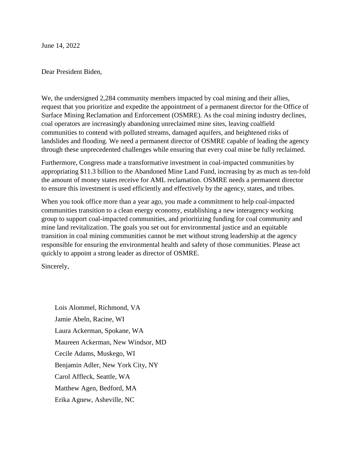June 14, 2022

Dear President Biden,

We, the undersigned 2,284 community members impacted by coal mining and their allies, request that you prioritize and expedite the appointment of a permanent director for the Office of Surface Mining Reclamation and Enforcement (OSMRE). As the coal mining industry declines, coal operators are increasingly abandoning unreclaimed mine sites, leaving coalfield communities to contend with polluted streams, damaged aquifers, and heightened risks of landslides and flooding. We need a permanent director of OSMRE capable of leading the agency through these unprecedented challenges while ensuring that every coal mine be fully reclaimed.

Furthermore, Congress made a transformative investment in coal-impacted communities by appropriating \$11.3 billion to the Abandoned Mine Land Fund, increasing by as much as ten-fold the amount of money states receive for AML reclamation. OSMRE needs a permanent director to ensure this investment is used efficiently and effectively by the agency, states, and tribes.

When you took office more than a year ago, you made a commitment to help coal-impacted communities transition to a clean energy economy, establishing a new interagency working group to support coal-impacted communities, and prioritizing funding for coal community and mine land revitalization. The goals you set out for environmental justice and an equitable transition in coal mining communities cannot be met without strong leadership at the agency responsible for ensuring the environmental health and safety of those communities. Please act quickly to appoint a strong leader as director of OSMRE.

Sincerely,

Lois Alommel, Richmond, VA Jamie Abeln, Racine, WI Laura Ackerman, Spokane, WA Maureen Ackerman, New Windsor, MD Cecile Adams, Muskego, WI Benjamin Adler, New York City, NY Carol Affleck, Seattle, WA Matthew Agen, Bedford, MA Erika Agnew, Asheville, NC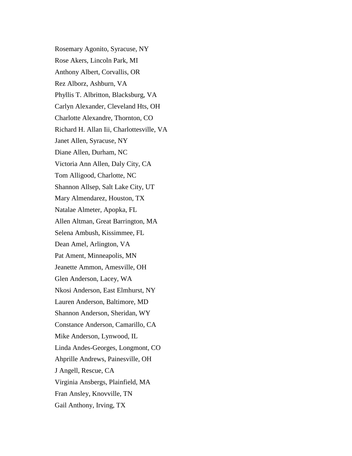Rosemary Agonito, Syracuse, NY Rose Akers, Lincoln Park, MI Anthony Albert, Corvallis, OR Rez Alborz, Ashburn, VA Phyllis T. Albritton, Blacksburg, VA Carlyn Alexander, Cleveland Hts, OH Charlotte Alexandre, Thornton, CO Richard H. Allan Iii, Charlottesville, VA Janet Allen, Syracuse, NY Diane Allen, Durham, NC Victoria Ann Allen, Daly City, CA Tom Alligood, Charlotte, NC Shannon Allsep, Salt Lake City, UT Mary Almendarez, Houston, TX Natalae Almeter, Apopka, FL Allen Altman, Great Barrington, MA Selena Ambush, Kissimmee, FL Dean Amel, Arlington, VA Pat Ament, Minneapolis, MN Jeanette Ammon, Amesville, OH Glen Anderson, Lacey, WA Nkosi Anderson, East Elmhurst, NY Lauren Anderson, Baltimore, MD Shannon Anderson, Sheridan, WY Constance Anderson, Camarillo, CA Mike Anderson, Lynwood, IL Linda Andes-Georges, Longmont, CO Ahprille Andrews, Painesville, OH J Angell, Rescue, CA Virginia Ansbergs, Plainfield, MA Fran Ansley, Knovville, TN Gail Anthony, Irving, TX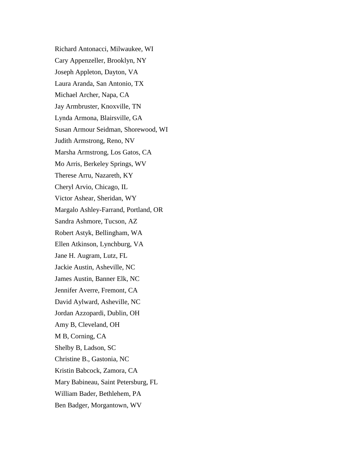Richard Antonacci, Milwaukee, WI Cary Appenzeller, Brooklyn, NY Joseph Appleton, Dayton, VA Laura Aranda, San Antonio, TX Michael Archer, Napa, CA Jay Armbruster, Knoxville, TN Lynda Armona, Blairsville, GA Susan Armour Seidman, Shorewood, WI Judith Armstrong, Reno, NV Marsha Armstrong, Los Gatos, CA Mo Arris, Berkeley Springs, WV Therese Arru, Nazareth, KY Cheryl Arvio, Chicago, IL Victor Ashear, Sheridan, WY Margalo Ashley-Farrand, Portland, OR Sandra Ashmore, Tucson, AZ Robert Astyk, Bellingham, WA Ellen Atkinson, Lynchburg, VA Jane H. Augram, Lutz, FL Jackie Austin, Asheville, NC James Austin, Banner Elk, NC Jennifer Averre, Fremont, CA David Aylward, Asheville, NC Jordan Azzopardi, Dublin, OH Amy B, Cleveland, OH M B, Corning, CA Shelby B, Ladson, SC Christine B., Gastonia, NC Kristin Babcock, Zamora, CA Mary Babineau, Saint Petersburg, FL William Bader, Bethlehem, PA Ben Badger, Morgantown, WV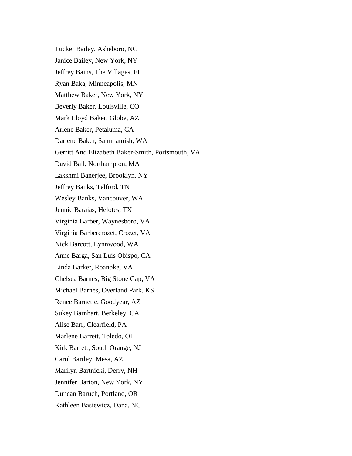Tucker Bailey, Asheboro, NC Janice Bailey, New York, NY Jeffrey Bains, The Villages, FL Ryan Baka, Minneapolis, MN Matthew Baker, New York, NY Beverly Baker, Louisville, CO Mark Lloyd Baker, Globe, AZ Arlene Baker, Petaluma, CA Darlene Baker, Sammamish, WA Gerritt And Elizabeth Baker-Smith, Portsmouth, VA David Ball, Northampton, MA Lakshmi Banerjee, Brooklyn, NY Jeffrey Banks, Telford, TN Wesley Banks, Vancouver, WA Jennie Barajas, Helotes, TX Virginia Barber, Waynesboro, VA Virginia Barbercrozet, Crozet, VA Nick Barcott, Lynnwood, WA Anne Barga, San Luis Obispo, CA Linda Barker, Roanoke, VA Chelsea Barnes, Big Stone Gap, VA Michael Barnes, Overland Park, KS Renee Barnette, Goodyear, AZ Sukey Barnhart, Berkeley, CA Alise Barr, Clearfield, PA Marlene Barrett, Toledo, OH Kirk Barrett, South Orange, NJ Carol Bartley, Mesa, AZ Marilyn Bartnicki, Derry, NH Jennifer Barton, New York, NY Duncan Baruch, Portland, OR Kathleen Basiewicz, Dana, NC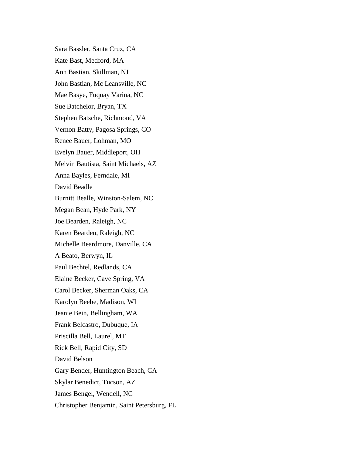Sara Bassler, Santa Cruz, CA Kate Bast, Medford, MA Ann Bastian, Skillman, NJ John Bastian, Mc Leansville, NC Mae Basye, Fuquay Varina, NC Sue Batchelor, Bryan, TX Stephen Batsche, Richmond, VA Vernon Batty, Pagosa Springs, CO Renee Bauer, Lohman, MO Evelyn Bauer, Middleport, OH Melvin Bautista, Saint Michaels, AZ Anna Bayles, Ferndale, MI David Beadle Burnitt Bealle, Winston-Salem, NC Megan Bean, Hyde Park, NY Joe Bearden, Raleigh, NC Karen Bearden, Raleigh, NC Michelle Beardmore, Danville, CA A Beato, Berwyn, IL Paul Bechtel, Redlands, CA Elaine Becker, Cave Spring, VA Carol Becker, Sherman Oaks, CA Karolyn Beebe, Madison, WI Jeanie Bein, Bellingham, WA Frank Belcastro, Dubuque, IA Priscilla Bell, Laurel, MT Rick Bell, Rapid City, SD David Belson Gary Bender, Huntington Beach, CA Skylar Benedict, Tucson, AZ James Bengel, Wendell, NC Christopher Benjamin, Saint Petersburg, FL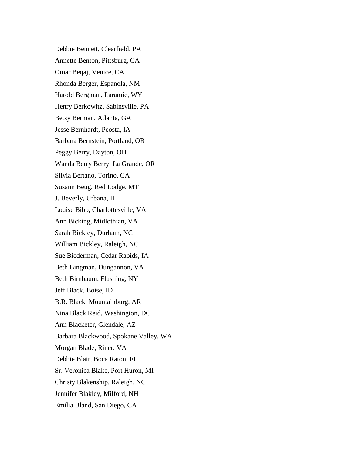Debbie Bennett, Clearfield, PA Annette Benton, Pittsburg, CA Omar Beqaj, Venice, CA Rhonda Berger, Espanola, NM Harold Bergman, Laramie, WY Henry Berkowitz, Sabinsville, PA Betsy Berman, Atlanta, GA Jesse Bernhardt, Peosta, IA Barbara Bernstein, Portland, OR Peggy Berry, Dayton, OH Wanda Berry Berry, La Grande, OR Silvia Bertano, Torino, CA Susann Beug, Red Lodge, MT J. Beverly, Urbana, IL Louise Bibb, Charlottesville, VA Ann Bicking, Midlothian, VA Sarah Bickley, Durham, NC William Bickley, Raleigh, NC Sue Biederman, Cedar Rapids, IA Beth Bingman, Dungannon, VA Beth Birnbaum, Flushing, NY Jeff Black, Boise, ID B.R. Black, Mountainburg, AR Nina Black Reid, Washington, DC Ann Blacketer, Glendale, AZ Barbara Blackwood, Spokane Valley, WA Morgan Blade, Riner, VA Debbie Blair, Boca Raton, FL Sr. Veronica Blake, Port Huron, MI Christy Blakenship, Raleigh, NC Jennifer Blakley, Milford, NH Emilia Bland, San Diego, CA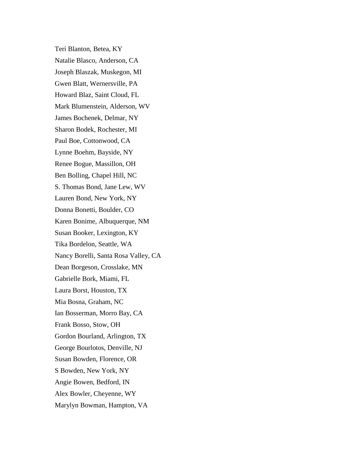Teri Blanton, Betea, KY Natalie Blasco, Anderson, CA Joseph Blaszak, Muskegon, MI Gwen Blatt, Wernersville, PA Howard Blaz, Saint Cloud, FL Mark Blumenstein, Alderson, WV James Bochenek, Delmar, NY Sharon Bodek, Rochester, MI Paul Boe, Cottonwood, CA Lynne Boehm, Bayside, NY Renee Bogue, Massillon, OH Ben Bolling, Chapel Hill, NC S. Thomas Bond, Jane Lew, WV Lauren Bond, New York, NY Donna Bonetti, Boulder, CO Karen Bonime, Albuquerque, NM Susan Booker, Lexington, KY Tika Bordelon, Seattle, WA Nancy Borelli, Santa Rosa Valley, CA Dean Borgeson, Crosslake, MN Gabrielle Bork, Miami, FL Laura Borst, Houston, TX Mia Bosna, Graham, NC Ian Bosserman, Morro Bay, CA Frank Bosso, Stow, OH Gordon Bourland, Arlington, TX George Bourlotos, Denville, NJ Susan Bowden, Florence, OR S Bowden, New York, NY Angie Bowen, Bedford, IN Alex Bowler, Cheyenne, WY Marylyn Bowman, Hampton, VA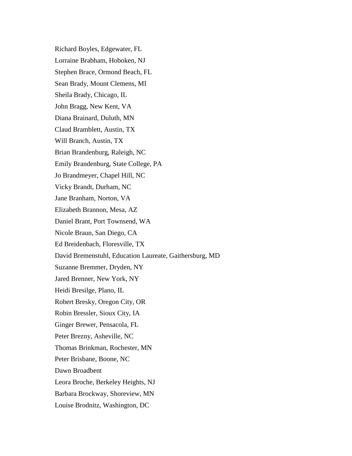Richard Boyles, Edgewater, FL Lorraine Brabham, Hoboken, NJ Stephen Brace, Ormond Beach, FL Sean Brady, Mount Clemens, MI Sheila Brady, Chicago, IL John Bragg, New Kent, VA Diana Brainard, Duluth, MN Claud Bramblett, Austin, TX Will Branch, Austin, TX Brian Brandenburg, Raleigh, NC Emily Brandenburg, State College, PA Jo Brandmeyer, Chapel Hill, NC Vicky Brandt, Durham, NC Jane Branham, Norton, VA Elizabeth Brannon, Mesa, AZ Daniel Brant, Port Townsend, WA Nicole Braun, San Diego, CA Ed Breidenbach, Floresville, TX David Bremenstuhl, Education Laureate, Gaithersburg, MD Suzanne Bremmer, Dryden, NY Jared Brenner, New York, NY Heidi Bresilge, Plano, IL Robert Bresky, Oregon City, OR Robin Bressler, Sioux City, IA Ginger Brewer, Pensacola, FL Peter Brezny, Asheville, NC Thomas Brinkman, Rochester, MN Peter Brisbane, Boone, NC Dawn Broadbent Leora Broche, Berkeley Heights, NJ Barbara Brockway, Shoreview, MN Louise Brodnitz, Washington, DC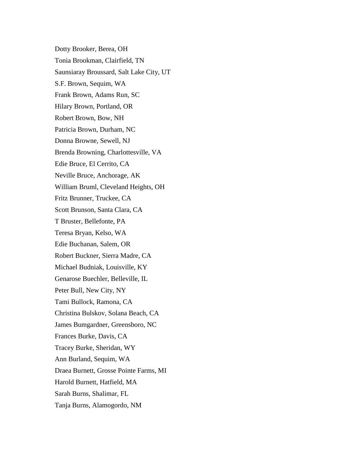Dotty Brooker, Berea, OH Tonia Brookman, Clairfield, TN Saunsiaray Broussard, Salt Lake City, UT S.F. Brown, Sequim, WA Frank Brown, Adams Run, SC Hilary Brown, Portland, OR Robert Brown, Bow, NH Patricia Brown, Durham, NC Donna Browne, Sewell, NJ Brenda Browning, Charlottesville, VA Edie Bruce, El Cerrito, CA Neville Bruce, Anchorage, AK William Bruml, Cleveland Heights, OH Fritz Brunner, Truckee, CA Scott Brunson, Santa Clara, CA T Bruster, Bellefonte, PA Teresa Bryan, Kelso, WA Edie Buchanan, Salem, OR Robert Buckner, Sierra Madre, CA Michael Budniak, Louisville, KY Genarose Buechler, Belleville, IL Peter Bull, New City, NY Tami Bullock, Ramona, CA Christina Bulskov, Solana Beach, CA James Bumgardner, Greensboro, NC Frances Burke, Davis, CA Tracey Burke, Sheridan, WY Ann Burland, Sequim, WA Draea Burnett, Grosse Pointe Farms, MI Harold Burnett, Hatfield, MA Sarah Burns, Shalimar, FL Tanja Burns, Alamogordo, NM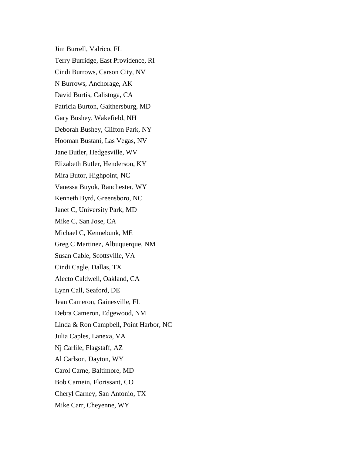Jim Burrell, Valrico, FL Terry Burridge, East Providence, RI Cindi Burrows, Carson City, NV N Burrows, Anchorage, AK David Burtis, Calistoga, CA Patricia Burton, Gaithersburg, MD Gary Bushey, Wakefield, NH Deborah Bushey, Clifton Park, NY Hooman Bustani, Las Vegas, NV Jane Butler, Hedgesville, WV Elizabeth Butler, Henderson, KY Mira Butor, Highpoint, NC Vanessa Buyok, Ranchester, WY Kenneth Byrd, Greensboro, NC Janet C, University Park, MD Mike C, San Jose, CA Michael C, Kennebunk, ME Greg C Martinez, Albuquerque, NM Susan Cable, Scottsville, VA Cindi Cagle, Dallas, TX Alecto Caldwell, Oakland, CA Lynn Call, Seaford, DE Jean Cameron, Gainesville, FL Debra Cameron, Edgewood, NM Linda & Ron Campbell, Point Harbor, NC Julia Caples, Lanexa, VA Nj Carlile, Flagstaff, AZ Al Carlson, Dayton, WY Carol Carne, Baltimore, MD Bob Carnein, Florissant, CO Cheryl Carney, San Antonio, TX Mike Carr, Cheyenne, WY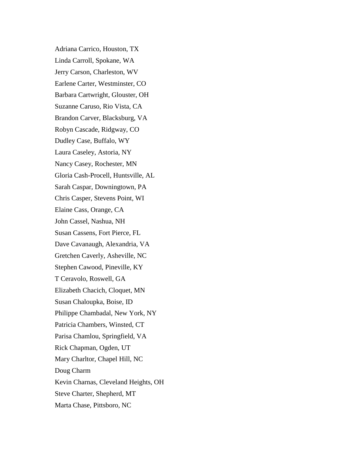Adriana Carrico, Houston, TX Linda Carroll, Spokane, WA Jerry Carson, Charleston, WV Earlene Carter, Westminster, CO Barbara Cartwright, Glouster, OH Suzanne Caruso, Rio Vista, CA Brandon Carver, Blacksburg, VA Robyn Cascade, Ridgway, CO Dudley Case, Buffalo, WY Laura Caseley, Astoria, NY Nancy Casey, Rochester, MN Gloria Cash-Procell, Huntsville, AL Sarah Caspar, Downingtown, PA Chris Casper, Stevens Point, WI Elaine Cass, Orange, CA John Cassel, Nashua, NH Susan Cassens, Fort Pierce, FL Dave Cavanaugh, Alexandria, VA Gretchen Caverly, Asheville, NC Stephen Cawood, Pineville, KY T Ceravolo, Roswell, GA Elizabeth Chacich, Cloquet, MN Susan Chaloupka, Boise, ID Philippe Chambadal, New York, NY Patricia Chambers, Winsted, CT Parisa Chamlou, Springfield, VA Rick Chapman, Ogden, UT Mary Charltor, Chapel Hill, NC Doug Charm Kevin Charnas, Cleveland Heights, OH Steve Charter, Shepherd, MT Marta Chase, Pittsboro, NC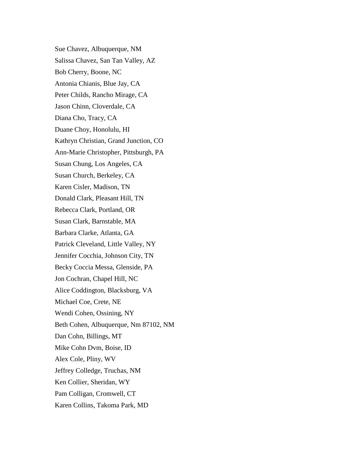Sue Chavez, Albuquerque, NM Salissa Chavez, San Tan Valley, AZ Bob Cherry, Boone, NC Antonia Chianis, Blue Jay, CA Peter Childs, Rancho Mirage, CA Jason Chinn, Cloverdale, CA Diana Cho, Tracy, CA Duane Choy, Honolulu, HI Kathryn Christian, Grand Junction, CO Ann-Marie Christopher, Pittsburgh, PA Susan Chung, Los Angeles, CA Susan Church, Berkeley, CA Karen Cisler, Madison, TN Donald Clark, Pleasant Hill, TN Rebecca Clark, Portland, OR Susan Clark, Barnstable, MA Barbara Clarke, Atlanta, GA Patrick Cleveland, Little Valley, NY Jennifer Cocchia, Johnson City, TN Becky Coccia Messa, Glenside, PA Jon Cochran, Chapel Hill, NC Alice Coddington, Blacksburg, VA Michael Coe, Crete, NE Wendi Cohen, Ossining, NY Beth Cohen, Albuquerque, Nm 87102, NM Dan Cohn, Billings, MT Mike Cohn Dvm, Boise, ID Alex Cole, Pliny, WV Jeffrey Colledge, Truchas, NM Ken Collier, Sheridan, WY Pam Colligan, Cromwell, CT Karen Collins, Takoma Park, MD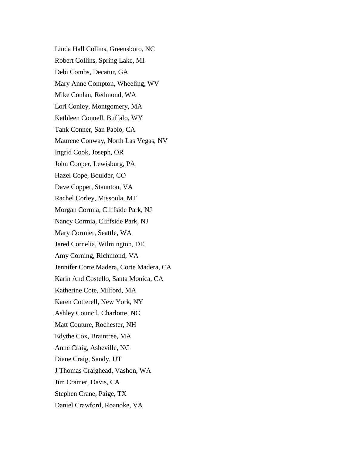Linda Hall Collins, Greensboro, NC Robert Collins, Spring Lake, MI Debi Combs, Decatur, GA Mary Anne Compton, Wheeling, WV Mike Conlan, Redmond, WA Lori Conley, Montgomery, MA Kathleen Connell, Buffalo, WY Tank Conner, San Pablo, CA Maurene Conway, North Las Vegas, NV Ingrid Cook, Joseph, OR John Cooper, Lewisburg, PA Hazel Cope, Boulder, CO Dave Copper, Staunton, VA Rachel Corley, Missoula, MT Morgan Cormia, Cliffside Park, NJ Nancy Cormia, Cliffside Park, NJ Mary Cormier, Seattle, WA Jared Cornelia, Wilmington, DE Amy Corning, Richmond, VA Jennifer Corte Madera, Corte Madera, CA Karin And Costello, Santa Monica, CA Katherine Cote, Milford, MA Karen Cotterell, New York, NY Ashley Council, Charlotte, NC Matt Couture, Rochester, NH Edythe Cox, Braintree, MA Anne Craig, Asheville, NC Diane Craig, Sandy, UT J Thomas Craighead, Vashon, WA Jim Cramer, Davis, CA Stephen Crane, Paige, TX Daniel Crawford, Roanoke, VA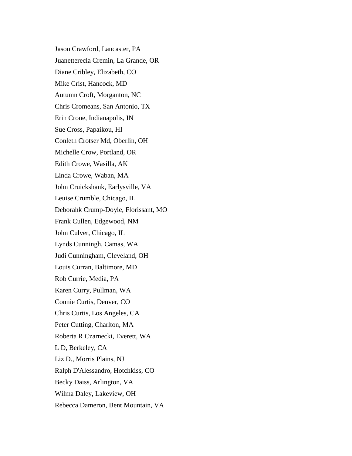Jason Crawford, Lancaster, PA Juanetterecla Cremin, La Grande, OR Diane Cribley, Elizabeth, CO Mike Crist, Hancock, MD Autumn Croft, Morganton, NC Chris Cromeans, San Antonio, TX Erin Crone, Indianapolis, IN Sue Cross, Papaikou, HI Conleth Crotser Md, Oberlin, OH Michelle Crow, Portland, OR Edith Crowe, Wasilla, AK Linda Crowe, Waban, MA John Cruickshank, Earlysville, VA Leuise Crumble, Chicago, IL Deborahk Crump-Doyle, Florissant, MO Frank Cullen, Edgewood, NM John Culver, Chicago, IL Lynds Cunningh, Camas, WA Judi Cunningham, Cleveland, OH Louis Curran, Baltimore, MD Rob Currie, Media, PA Karen Curry, Pullman, WA Connie Curtis, Denver, CO Chris Curtis, Los Angeles, CA Peter Cutting, Charlton, MA Roberta R Czarnecki, Everett, WA L D, Berkeley, CA Liz D., Morris Plains, NJ Ralph D'Alessandro, Hotchkiss, CO Becky Daiss, Arlington, VA Wilma Daley, Lakeview, OH Rebecca Dameron, Bent Mountain, VA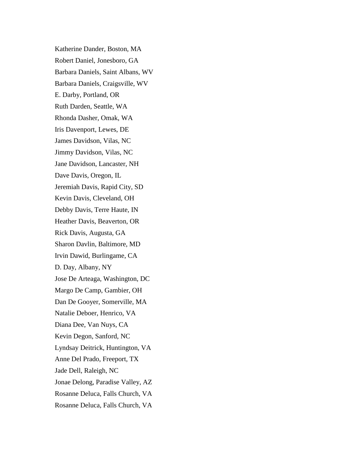Katherine Dander, Boston, MA Robert Daniel, Jonesboro, GA Barbara Daniels, Saint Albans, WV Barbara Daniels, Craigsville, WV E. Darby, Portland, OR Ruth Darden, Seattle, WA Rhonda Dasher, Omak, WA Iris Davenport, Lewes, DE James Davidson, Vilas, NC Jimmy Davidson, Vilas, NC Jane Davidson, Lancaster, NH Dave Davis, Oregon, IL Jeremiah Davis, Rapid City, SD Kevin Davis, Cleveland, OH Debby Davis, Terre Haute, IN Heather Davis, Beaverton, OR Rick Davis, Augusta, GA Sharon Davlin, Baltimore, MD Irvin Dawid, Burlingame, CA D. Day, Albany, NY Jose De Arteaga, Washington, DC Margo De Camp, Gambier, OH Dan De Gooyer, Somerville, MA Natalie Deboer, Henrico, VA Diana Dee, Van Nuys, CA Kevin Degon, Sanford, NC Lyndsay Deitrick, Huntington, VA Anne Del Prado, Freeport, TX Jade Dell, Raleigh, NC Jonae Delong, Paradise Valley, AZ Rosanne Deluca, Falls Church, VA Rosanne Deluca, Falls Church, VA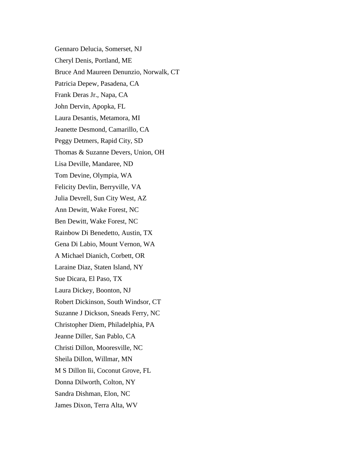Gennaro Delucia, Somerset, NJ Cheryl Denis, Portland, ME Bruce And Maureen Denunzio, Norwalk, CT Patricia Depew, Pasadena, CA Frank Deras Jr., Napa, CA John Dervin, Apopka, FL Laura Desantis, Metamora, MI Jeanette Desmond, Camarillo, CA Peggy Detmers, Rapid City, SD Thomas & Suzanne Devers, Union, OH Lisa Deville, Mandaree, ND Tom Devine, Olympia, WA Felicity Devlin, Berryville, VA Julia Devrell, Sun City West, AZ Ann Dewitt, Wake Forest, NC Ben Dewitt, Wake Forest, NC Rainbow Di Benedetto, Austin, TX Gena Di Labio, Mount Vernon, WA A Michael Dianich, Corbett, OR Laraine Diaz, Staten Island, NY Sue Dicara, El Paso, TX Laura Dickey, Boonton, NJ Robert Dickinson, South Windsor, CT Suzanne J Dickson, Sneads Ferry, NC Christopher Diem, Philadelphia, PA Jeanne Diller, San Pablo, CA Christi Dillon, Mooresville, NC Sheila Dillon, Willmar, MN M S Dillon Iii, Coconut Grove, FL Donna Dilworth, Colton, NY Sandra Dishman, Elon, NC James Dixon, Terra Alta, WV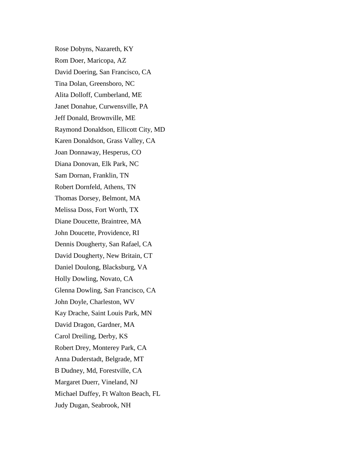Rose Dobyns, Nazareth, KY Rom Doer, Maricopa, AZ David Doering, San Francisco, CA Tina Dolan, Greensboro, NC Alita Dolloff, Cumberland, ME Janet Donahue, Curwensville, PA Jeff Donald, Brownville, ME Raymond Donaldson, Ellicott City, MD Karen Donaldson, Grass Valley, CA Joan Donnaway, Hesperus, CO Diana Donovan, Elk Park, NC Sam Dornan, Franklin, TN Robert Dornfeld, Athens, TN Thomas Dorsey, Belmont, MA Melissa Doss, Fort Worth, TX Diane Doucette, Braintree, MA John Doucette, Providence, RI Dennis Dougherty, San Rafael, CA David Dougherty, New Britain, CT Daniel Doulong, Blacksburg, VA Holly Dowling, Novato, CA Glenna Dowling, San Francisco, CA John Doyle, Charleston, WV Kay Drache, Saint Louis Park, MN David Dragon, Gardner, MA Carol Dreiling, Derby, KS Robert Drey, Monterey Park, CA Anna Duderstadt, Belgrade, MT B Dudney, Md, Forestville, CA Margaret Duerr, Vineland, NJ Michael Duffey, Ft Walton Beach, FL Judy Dugan, Seabrook, NH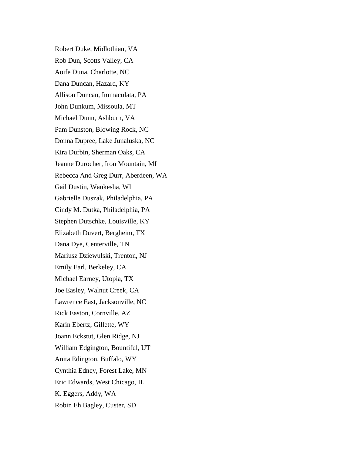Robert Duke, Midlothian, VA Rob Dun, Scotts Valley, CA Aoife Duna, Charlotte, NC Dana Duncan, Hazard, KY Allison Duncan, Immaculata, PA John Dunkum, Missoula, MT Michael Dunn, Ashburn, VA Pam Dunston, Blowing Rock, NC Donna Dupree, Lake Junaluska, NC Kira Durbin, Sherman Oaks, CA Jeanne Durocher, Iron Mountain, MI Rebecca And Greg Durr, Aberdeen, WA Gail Dustin, Waukesha, WI Gabrielle Duszak, Philadelphia, PA Cindy M. Dutka, Philadelphia, PA Stephen Dutschke, Louisville, KY Elizabeth Duvert, Bergheim, TX Dana Dye, Centerville, TN Mariusz Dziewulski, Trenton, NJ Emily Earl, Berkeley, CA Michael Earney, Utopia, TX Joe Easley, Walnut Creek, CA Lawrence East, Jacksonville, NC Rick Easton, Cornville, AZ Karin Ebertz, Gillette, WY Joann Eckstut, Glen Ridge, NJ William Edgington, Bountiful, UT Anita Edington, Buffalo, WY Cynthia Edney, Forest Lake, MN Eric Edwards, West Chicago, IL K. Eggers, Addy, WA Robin Eh Bagley, Custer, SD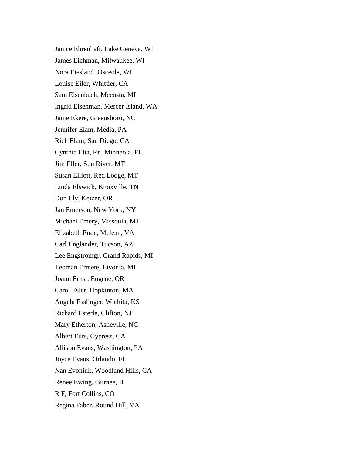Janice Ehrenhaft, Lake Geneva, WI James Eichman, Milwaukee, WI Nora Eiesland, Osceola, WI Louise Eiler, Whittier, CA Sam Eisenbach, Mecosta, MI Ingrid Eisenman, Mercer Island, WA Janie Ekere, Greensboro, NC Jennifer Elam, Media, PA Rich Elam, San Diego, CA Cynthia Elia, Rn, Minneola, FL Jim Eller, Sun River, MT Susan Elliott, Red Lodge, MT Linda Elswick, Knoxville, TN Don Ely, Keizer, OR Jan Emerson, New York, NY Michael Emery, Missoula, MT Elizabeth Ende, Mclean, VA Carl Englander, Tucson, AZ Lee Engstromgr, Grand Rapids, MI Teoman Ermete, Livonia, MI Joann Ernst, Eugene, OR Carol Esler, Hopkinton, MA Angela Esslinger, Wichita, KS Richard Esterle, Clifton, NJ Mary Etherton, Asheville, NC Albert Eurs, Cypress, CA Allison Evans, Washington, PA Joyce Evans, Orlando, FL Nan Evoniuk, Woodland Hills, CA Renee Ewing, Gurnee, IL R F, Fort Collins, CO Regina Faber, Round Hill, VA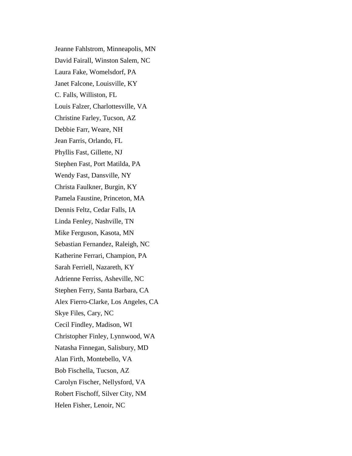Jeanne Fahlstrom, Minneapolis, MN David Fairall, Winston Salem, NC Laura Fake, Womelsdorf, PA Janet Falcone, Louisville, KY C. Falls, Williston, FL Louis Falzer, Charlottesville, VA Christine Farley, Tucson, AZ Debbie Farr, Weare, NH Jean Farris, Orlando, FL Phyllis Fast, Gillette, NJ Stephen Fast, Port Matilda, PA Wendy Fast, Dansville, NY Christa Faulkner, Burgin, KY Pamela Faustine, Princeton, MA Dennis Feltz, Cedar Falls, IA Linda Fenley, Nashville, TN Mike Ferguson, Kasota, MN Sebastian Fernandez, Raleigh, NC Katherine Ferrari, Champion, PA Sarah Ferriell, Nazareth, KY Adrienne Ferriss, Asheville, NC Stephen Ferry, Santa Barbara, CA Alex Fierro-Clarke, Los Angeles, CA Skye Files, Cary, NC Cecil Findley, Madison, WI Christopher Finley, Lynnwood, WA Natasha Finnegan, Salisbury, MD Alan Firth, Montebello, VA Bob Fischella, Tucson, AZ Carolyn Fischer, Nellysford, VA Robert Fischoff, Silver City, NM Helen Fisher, Lenoir, NC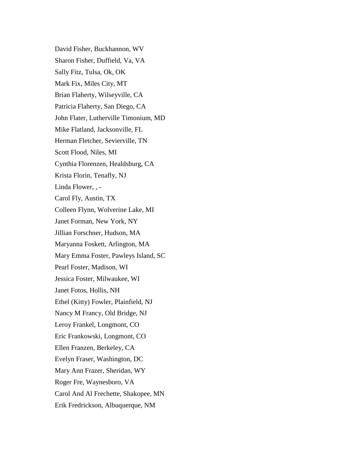David Fisher, Buckhannon, WV Sharon Fisher, Duffield, Va, VA Sally Fitz, Tulsa, Ok, OK Mark Fix, Miles City, MT Brian Flaherty, Wilseyville, CA Patricia Flaherty, San Diego, CA John Flater, Lutherville Timonium, MD Mike Flatland, Jacksonville, FL Herman Fletcher, Sevierville, TN Scott Flood, Niles, MI Cynthia Florenzen, Healdsburg, CA Krista Florin, Tenafly, NJ Linda Flower, , - Carol Fly, Austin, TX Colleen Flynn, Wolverine Lake, MI Janet Forman, New York, NY Jillian Forschner, Hudson, MA Maryanna Foskett, Arlington, MA Mary Emma Foster, Pawleys Island, SC Pearl Foster, Madison, WI Jessica Foster, Milwaukee, WI Janet Fotos, Hollis, NH Ethel (Kitty) Fowler, Plainfield, NJ Nancy M Francy, Old Bridge, NJ Leroy Frankel, Longmont, CO Eric Frankowski, Longmont, CO Ellen Franzen, Berkeley, CA Evelyn Fraser, Washington, DC Mary Ann Frazer, Sheridan, WY Roger Fre, Waynesboro, VA Carol And Al Frechette, Shakopee, MN Erik Fredrickson, Albuquerque, NM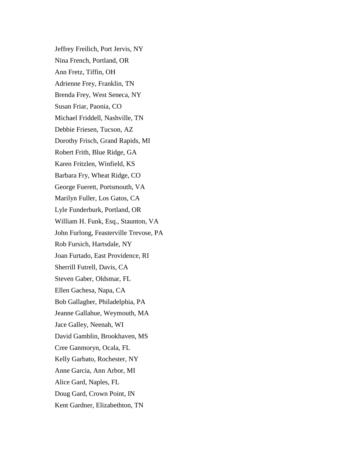Jeffrey Freilich, Port Jervis, NY Nina French, Portland, OR Ann Fretz, Tiffin, OH Adrienne Frey, Franklin, TN Brenda Frey, West Seneca, NY Susan Friar, Paonia, CO Michael Friddell, Nashville, TN Debbie Friesen, Tucson, AZ Dorothy Frisch, Grand Rapids, MI Robert Frith, Blue Ridge, GA Karen Fritzlen, Winfield, KS Barbara Fry, Wheat Ridge, CO George Fuerett, Portsmouth, VA Marilyn Fuller, Los Gatos, CA Lyle Funderburk, Portland, OR William H. Funk, Esq., Staunton, VA John Furlong, Feasterville Trevose, PA Rob Fursich, Hartsdale, NY Joan Furtado, East Providence, RI Sherrill Futrell, Davis, CA Steven Gaber, Oldsmar, FL Ellen Gachesa, Napa, CA Bob Gallagher, Philadelphia, PA Jeanne Gallahue, Weymouth, MA Jace Galley, Neenah, WI David Gamblin, Brookhaven, MS Cree Ganmoryn, Ocala, FL Kelly Garbato, Rochester, NY Anne Garcia, Ann Arbor, MI Alice Gard, Naples, FL Doug Gard, Crown Point, IN Kent Gardner, Elizabethton, TN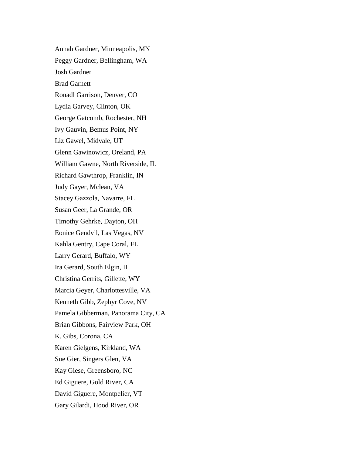Annah Gardner, Minneapolis, MN Peggy Gardner, Bellingham, WA Josh Gardner Brad Garnett Ronadl Garrison, Denver, CO Lydia Garvey, Clinton, OK George Gatcomb, Rochester, NH Ivy Gauvin, Bemus Point, NY Liz Gawel, Midvale, UT Glenn Gawinowicz, Oreland, PA William Gawne, North Riverside, IL Richard Gawthrop, Franklin, IN Judy Gayer, Mclean, VA Stacey Gazzola, Navarre, FL Susan Geer, La Grande, OR Timothy Gehrke, Dayton, OH Eonice Gendvil, Las Vegas, NV Kahla Gentry, Cape Coral, FL Larry Gerard, Buffalo, WY Ira Gerard, South Elgin, IL Christina Gerrits, Gillette, WY Marcia Geyer, Charlottesville, VA Kenneth Gibb, Zephyr Cove, NV Pamela Gibberman, Panorama City, CA Brian Gibbons, Fairview Park, OH K. Gibs, Corona, CA Karen Gielgens, Kirkland, WA Sue Gier, Singers Glen, VA Kay Giese, Greensboro, NC Ed Giguere, Gold River, CA David Giguere, Montpelier, VT Gary Gilardi, Hood River, OR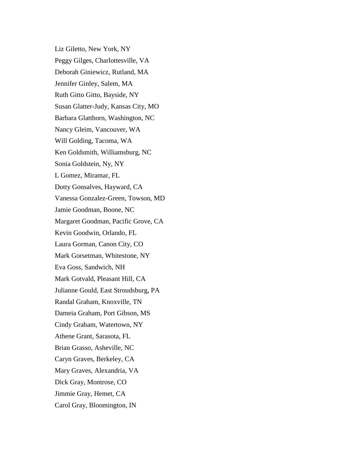Liz Giletto, New York, NY Peggy Gilges, Charlottesville, VA Deborah Giniewicz, Rutland, MA Jennifer Ginley, Salem, MA Ruth Gitto Gitto, Bayside, NY Susan Glatter-Judy, Kansas City, MO Barbara Glatthorn, Washington, NC Nancy Gleim, Vancouver, WA Will Golding, Tacoma, WA Ken Goldsmith, Williamsburg, NC Sonia Goldstein, Ny, NY L Gomez, Miramar, FL Dotty Gonsalves, Hayward, CA Vanessa Gonzalez-Green, Towson, MD Jamie Goodman, Boone, NC Margaret Goodman, Pacific Grove, CA Kevin Goodwin, Orlando, FL Laura Gorman, Canon City, CO Mark Gorsetman, Whitestone, NY Eva Goss, Sandwich, NH Mark Gotvald, Pleasant Hill, CA Julianne Gould, East Stroudsburg, PA Randal Graham, Knoxville, TN Dameia Graham, Port Gibson, MS Cindy Graham, Watertown, NY Athene Grant, Sarasota, FL Brian Grasso, Asheville, NC Caryn Graves, Berkeley, CA Mary Graves, Alexandria, VA Dick Gray, Montrose, CO Jimmie Gray, Hemet, CA Carol Gray, Bloomington, IN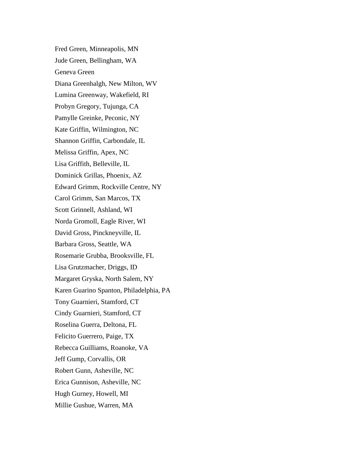Fred Green, Minneapolis, MN Jude Green, Bellingham, WA Geneva Green Diana Greenhalgh, New Milton, WV Lumina Greenway, Wakefield, RI Probyn Gregory, Tujunga, CA Pamylle Greinke, Peconic, NY Kate Griffin, Wilmington, NC Shannon Griffin, Carbondale, IL Melissa Griffin, Apex, NC Lisa Griffith, Belleville, IL Dominick Grillas, Phoenix, AZ Edward Grimm, Rockville Centre, NY Carol Grimm, San Marcos, TX Scott Grinnell, Ashland, WI Norda Gromoll, Eagle River, WI David Gross, Pinckneyville, IL Barbara Gross, Seattle, WA Rosemarie Grubba, Brooksville, FL Lisa Grutzmacher, Driggs, ID Margaret Gryska, North Salem, NY Karen Guarino Spanton, Philadelphia, PA Tony Guarnieri, Stamford, CT Cindy Guarnieri, Stamford, CT Roselina Guerra, Deltona, FL Felicito Guerrero, Paige, TX Rebecca Guilliams, Roanoke, VA Jeff Gump, Corvallis, OR Robert Gunn, Asheville, NC Erica Gunnison, Asheville, NC Hugh Gurney, Howell, MI Millie Gushue, Warren, MA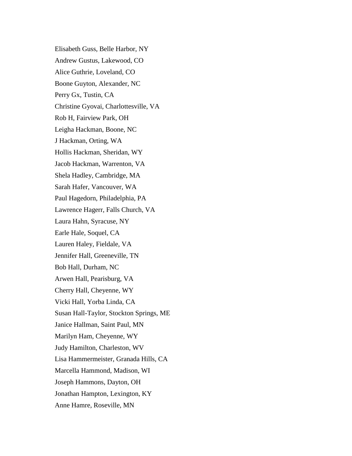Elisabeth Guss, Belle Harbor, NY Andrew Gustus, Lakewood, CO Alice Guthrie, Loveland, CO Boone Guyton, Alexander, NC Perry Gx, Tustin, CA Christine Gyovai, Charlottesville, VA Rob H, Fairview Park, OH Leigha Hackman, Boone, NC J Hackman, Orting, WA Hollis Hackman, Sheridan, WY Jacob Hackman, Warrenton, VA Shela Hadley, Cambridge, MA Sarah Hafer, Vancouver, WA Paul Hagedorn, Philadelphia, PA Lawrence Hagerr, Falls Church, VA Laura Hahn, Syracuse, NY Earle Hale, Soquel, CA Lauren Haley, Fieldale, VA Jennifer Hall, Greeneville, TN Bob Hall, Durham, NC Arwen Hall, Pearisburg, VA Cherry Hall, Cheyenne, WY Vicki Hall, Yorba Linda, CA Susan Hall-Taylor, Stockton Springs, ME Janice Hallman, Saint Paul, MN Marilyn Ham, Cheyenne, WY Judy Hamilton, Charleston, WV Lisa Hammermeister, Granada Hills, CA Marcella Hammond, Madison, WI Joseph Hammons, Dayton, OH Jonathan Hampton, Lexington, KY Anne Hamre, Roseville, MN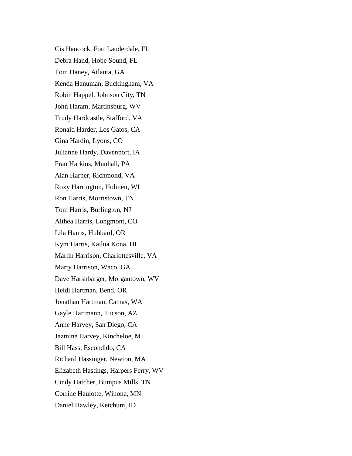Cis Hancock, Fort Lauderdale, FL Debra Hand, Hobe Sound, FL Tom Haney, Atlanta, GA Kenda Hanuman, Buckingham, VA Robin Happel, Johnson City, TN John Haram, Martinsburg, WV Trudy Hardcastle, Stafford, VA Ronald Harder, Los Gatos, CA Gina Hardin, Lyons, CO Julianne Hardy, Davenport, IA Fran Harkins, Munhall, PA Alan Harper, Richmond, VA Roxy Harrington, Holmen, WI Ron Harris, Morristown, TN Tom Harris, Burlington, NJ Althea Harris, Longmont, CO Lila Harris, Hubbard, OR Kym Harris, Kailua Kona, HI Martin Harrison, Charlottesville, VA Marty Harrison, Waco, GA Dave Harshbarger, Morgantown, WV Heidi Hartman, Bend, OR Jonathan Hartman, Camas, WA Gayle Hartmann, Tucson, AZ Anne Harvey, San Diego, CA Jazmine Harvey, Kincheloe, MI Bill Hass, Escondido, CA Richard Hassinger, Newton, MA Elizabeth Hastings, Harpers Ferry, WV Cindy Hatcher, Bumpus Mills, TN Corrine Haulotte, Winona, MN Daniel Hawley, Ketchum, ID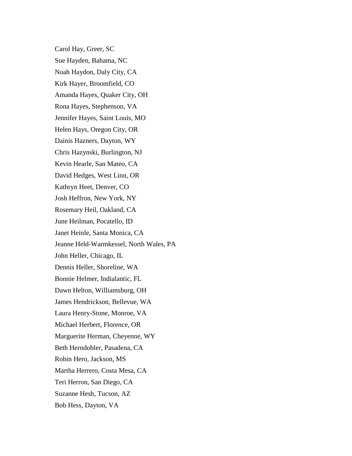Carol Hay, Greer, SC Sue Hayden, Bahama, NC Noah Haydon, Daly City, CA Kirk Hayer, Broomfield, CO Amanda Hayes, Quaker City, OH Rona Hayes, Stephenson, VA Jennifer Hayes, Saint Louis, MO Helen Hays, Oregon City, OR Dainis Hazners, Dayton, WY Chris Hazynski, Burlington, NJ Kevin Hearle, San Mateo, CA David Hedges, West Linn, OR Kathryn Heet, Denver, CO Josh Heffron, New York, NY Rosemary Heil, Oakland, CA June Heilman, Pocatello, ID Janet Heinle, Santa Monica, CA Jeanne Held-Warmkessel, North Wales, PA John Heller, Chicago, IL Dennis Heller, Shoreline, WA Bonnie Helmer, Indialantic, FL Dawn Helton, Williamsburg, OH James Hendrickson, Bellevue, WA Laura Henry-Stone, Monroe, VA Michael Herbert, Florence, OR Marguerite Herman, Cheyenne, WY Beth Herndobler, Pasadena, CA Robin Hero, Jackson, MS Martha Herrero, Costa Mesa, CA Teri Herron, San Diego, CA Suzanne Hesh, Tucson, AZ Bob Hess, Dayton, VA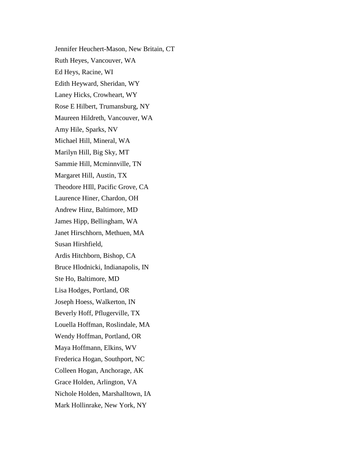Jennifer Heuchert-Mason, New Britain, CT Ruth Heyes, Vancouver, WA Ed Heys, Racine, WI Edith Heyward, Sheridan, WY Laney Hicks, Crowheart, WY Rose E Hilbert, Trumansburg, NY Maureen Hildreth, Vancouver, WA Amy Hile, Sparks, NV Michael Hill, Mineral, WA Marilyn Hill, Big Sky, MT Sammie Hill, Mcminnville, TN Margaret Hill, Austin, TX Theodore HIll, Pacific Grove, CA Laurence Hiner, Chardon, OH Andrew Hinz, Baltimore, MD James Hipp, Bellingham, WA Janet Hirschhorn, Methuen, MA Susan Hirshfield, Ardis Hitchborn, Bishop, CA Bruce Hlodnicki, Indianapolis, IN Ste Ho, Baltimore, MD Lisa Hodges, Portland, OR Joseph Hoess, Walkerton, IN Beverly Hoff, Pflugerville, TX Louella Hoffman, Roslindale, MA Wendy Hoffman, Portland, OR Maya Hoffmann, Elkins, WV Frederica Hogan, Southport, NC Colleen Hogan, Anchorage, AK Grace Holden, Arlington, VA Nichole Holden, Marshalltown, IA Mark Hollinrake, New York, NY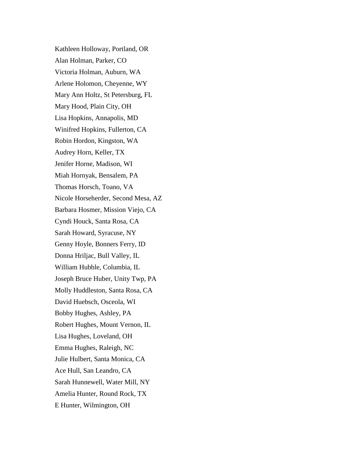Kathleen Holloway, Portland, OR Alan Holman, Parker, CO Victoria Holman, Auburn, WA Arlene Holomon, Cheyenne, WY Mary Ann Holtz, St Petersburg, FL Mary Hood, Plain City, OH Lisa Hopkins, Annapolis, MD Winifred Hopkins, Fullerton, CA Robin Hordon, Kingston, WA Audrey Horn, Keller, TX Jenifer Horne, Madison, WI Miah Hornyak, Bensalem, PA Thomas Horsch, Toano, VA Nicole Horseherder, Second Mesa, AZ Barbara Hosmer, Mission Viejo, CA Cyndi Houck, Santa Rosa, CA Sarah Howard, Syracuse, NY Genny Hoyle, Bonners Ferry, ID Donna Hriljac, Bull Valley, IL William Hubble, Columbia, IL Joseph Bruce Huber, Unity Twp, PA Molly Huddleston, Santa Rosa, CA David Huebsch, Osceola, WI Bobby Hughes, Ashley, PA Robert Hughes, Mount Vernon, IL Lisa Hughes, Loveland, OH Emma Hughes, Raleigh, NC Julie Hulbert, Santa Monica, CA Ace Hull, San Leandro, CA Sarah Hunnewell, Water Mill, NY Amelia Hunter, Round Rock, TX E Hunter, Wilmington, OH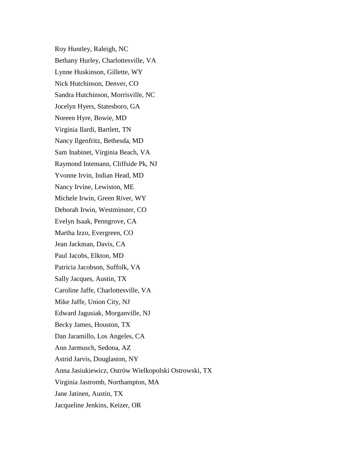Roy Huntley, Raleigh, NC Bethany Hurley, Charlottesville, VA Lynne Huskinson, Gillette, WY Nick Hutchinson, Denver, CO Sandra Hutchinson, Morrisville, NC Jocelyn Hyers, Statesboro, GA Noreen Hyre, Bowie, MD Virginia Ilardi, Bartlett, TN Nancy Ilgenfritz, Bethesda, MD Sam Inabinet, Virginia Beach, VA Raymond Intemann, Cliffside Pk, NJ Yvonne Irvin, Indian Head, MD Nancy Irvine, Lewiston, ME Michele Irwin, Green River, WY Deborah Irwin, Westminster, CO Evelyn Isaak, Penngrove, CA Martha Izzo, Evergreen, CO Jean Jackman, Davis, CA Paul Jacobs, Elkton, MD Patricia Jacobson, Suffolk, VA Sally Jacques, Austin, TX Caroline Jaffe, Charlottesville, VA Mike Jaffe, Union City, NJ Edward Jagusiak, Morganville, NJ Becky James, Houston, TX Dan Jaramillo, Los Angeles, CA Ann Jarmusch, Sedona, AZ Astrid Jarvis, Douglaston, NY Anna Jasiukiewicz, Ostrów Wielkopolski Ostrowski, TX Virginia Jastromb, Northampton, MA Jane Jatinen, Austin, TX Jacqueline Jenkins, Keizer, OR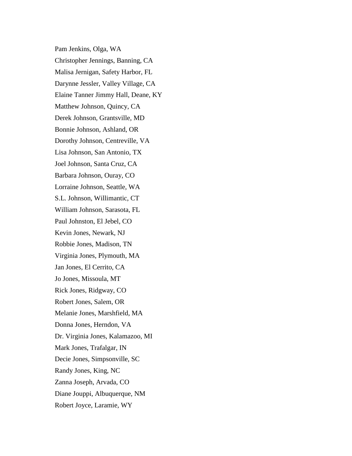Pam Jenkins, Olga, WA Christopher Jennings, Banning, CA Malisa Jernigan, Safety Harbor, FL Darynne Jessler, Valley Village, CA Elaine Tanner Jimmy Hall, Deane, KY Matthew Johnson, Quincy, CA Derek Johnson, Grantsville, MD Bonnie Johnson, Ashland, OR Dorothy Johnson, Centreville, VA Lisa Johnson, San Antonio, TX Joel Johnson, Santa Cruz, CA Barbara Johnson, Ouray, CO Lorraine Johnson, Seattle, WA S.L. Johnson, Willimantic, CT William Johnson, Sarasota, FL Paul Johnston, El Jebel, CO Kevin Jones, Newark, NJ Robbie Jones, Madison, TN Virginia Jones, Plymouth, MA Jan Jones, El Cerrito, CA Jo Jones, Missoula, MT Rick Jones, Ridgway, CO Robert Jones, Salem, OR Melanie Jones, Marshfield, MA Donna Jones, Herndon, VA Dr. Virginia Jones, Kalamazoo, MI Mark Jones, Trafalgar, IN Decie Jones, Simpsonville, SC Randy Jones, King, NC Zanna Joseph, Arvada, CO Diane Jouppi, Albuquerque, NM Robert Joyce, Laramie, WY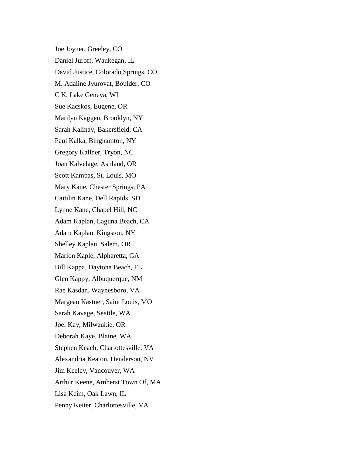Joe Joyner, Greeley, CO Daniel Juroff, Waukegan, IL David Justice, Colorado Springs, CO M. Adaline Jyurovat, Boulder, CO C K, Lake Geneva, WI Sue Kacskos, Eugene, OR Marilyn Kaggen, Brooklyn, NY Sarah Kalinay, Bakersfield, CA Paul Kalka, Binghamton, NY Gregory Kallner, Tryon, NC Joan Kalvelage, Ashland, OR Scott Kampas, St. Louis, MO Mary Kane, Chester Springs, PA Caitilin Kane, Dell Rapids, SD Lynne Kane, Chapel Hill, NC Adam Kaplan, Laguna Beach, CA Adam Kaplan, Kingston, NY Shelley Kaplan, Salem, OR Marion Kaple, Alpharetta, GA Bill Kappa, Daytona Beach, FL Glen Kappy, Albuquerque, NM Rae Kasdan, Waynesboro, VA Margean Kastner, Saint Louis, MO Sarah Kavage, Seattle, WA Joel Kay, Milwaukie, OR Deborah Kaye, Blaine, WA Stephen Keach, Charlottesville, VA Alexandria Keaton, Henderson, NV Jim Keeley, Vancouver, WA Arthur Keene, Amherst Town Of, MA Lisa Keim, Oak Lawn, IL Penny Keiter, Charlottesville, VA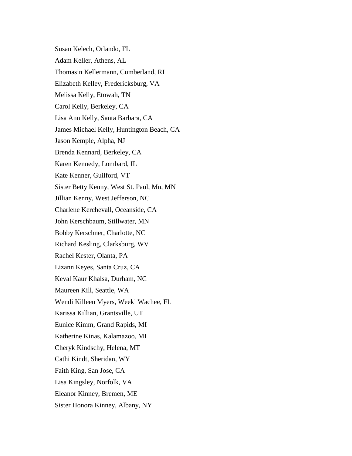Susan Kelech, Orlando, FL Adam Keller, Athens, AL Thomasin Kellermann, Cumberland, RI Elizabeth Kelley, Fredericksburg, VA Melissa Kelly, Etowah, TN Carol Kelly, Berkeley, CA Lisa Ann Kelly, Santa Barbara, CA James Michael Kelly, Huntington Beach, CA Jason Kemple, Alpha, NJ Brenda Kennard, Berkeley, CA Karen Kennedy, Lombard, IL Kate Kenner, Guilford, VT Sister Betty Kenny, West St. Paul, Mn, MN Jillian Kenny, West Jefferson, NC Charlene Kerchevall, Oceanside, CA John Kerschbaum, Stillwater, MN Bobby Kerschner, Charlotte, NC Richard Kesling, Clarksburg, WV Rachel Kester, Olanta, PA Lizann Keyes, Santa Cruz, CA Keval Kaur Khalsa, Durham, NC Maureen Kill, Seattle, WA Wendi Killeen Myers, Weeki Wachee, FL Karissa Killian, Grantsville, UT Eunice Kimm, Grand Rapids, MI Katherine Kinas, Kalamazoo, MI Cheryk Kindschy, Helena, MT Cathi Kindt, Sheridan, WY Faith King, San Jose, CA Lisa Kingsley, Norfolk, VA Eleanor Kinney, Bremen, ME Sister Honora Kinney, Albany, NY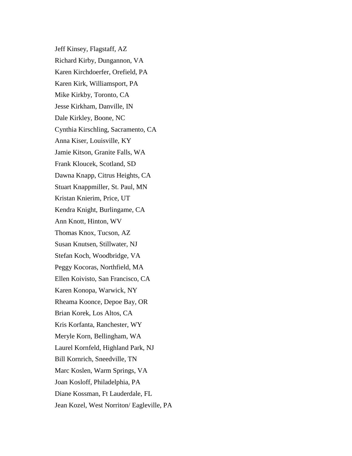Jeff Kinsey, Flagstaff, AZ Richard Kirby, Dungannon, VA Karen Kirchdoerfer, Orefield, PA Karen Kirk, Williamsport, PA Mike Kirkby, Toronto, CA Jesse Kirkham, Danville, IN Dale Kirkley, Boone, NC Cynthia Kirschling, Sacramento, CA Anna Kiser, Louisville, KY Jamie Kitson, Granite Falls, WA Frank Kloucek, Scotland, SD Dawna Knapp, Citrus Heights, CA Stuart Knappmiller, St. Paul, MN Kristan Knierim, Price, UT Kendra Knight, Burlingame, CA Ann Knott, Hinton, WV Thomas Knox, Tucson, AZ Susan Knutsen, Stillwater, NJ Stefan Koch, Woodbridge, VA Peggy Kocoras, Northfield, MA Ellen Koivisto, San Francisco, CA Karen Konopa, Warwick, NY Rheama Koonce, Depoe Bay, OR Brian Korek, Los Altos, CA Kris Korfanta, Ranchester, WY Meryle Korn, Bellingham, WA Laurel Kornfeld, Highland Park, NJ Bill Kornrich, Sneedville, TN Marc Koslen, Warm Springs, VA Joan Kosloff, Philadelphia, PA Diane Kossman, Ft Lauderdale, FL Jean Kozel, West Norriton/ Eagleville, PA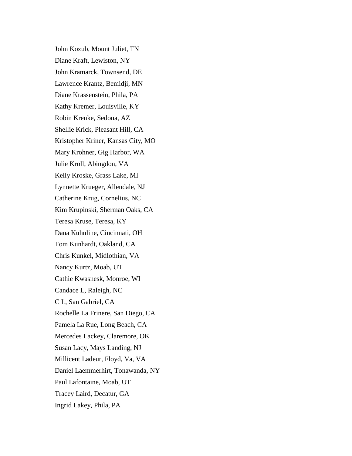John Kozub, Mount Juliet, TN Diane Kraft, Lewiston, NY John Kramarck, Townsend, DE Lawrence Krantz, Bemidji, MN Diane Krassenstein, Phila, PA Kathy Kremer, Louisville, KY Robin Krenke, Sedona, AZ Shellie Krick, Pleasant Hill, CA Kristopher Kriner, Kansas City, MO Mary Krohner, Gig Harbor, WA Julie Kroll, Abingdon, VA Kelly Kroske, Grass Lake, MI Lynnette Krueger, Allendale, NJ Catherine Krug, Cornelius, NC Kim Krupinski, Sherman Oaks, CA Teresa Kruse, Teresa, KY Dana Kuhnline, Cincinnati, OH Tom Kunhardt, Oakland, CA Chris Kunkel, Midlothian, VA Nancy Kurtz, Moab, UT Cathie Kwasnesk, Monroe, WI Candace L, Raleigh, NC C L, San Gabriel, CA Rochelle La Frinere, San Diego, CA Pamela La Rue, Long Beach, CA Mercedes Lackey, Claremore, OK Susan Lacy, Mays Landing, NJ Millicent Ladeur, Floyd, Va, VA Daniel Laemmerhirt, Tonawanda, NY Paul Lafontaine, Moab, UT Tracey Laird, Decatur, GA Ingrid Lakey, Phila, PA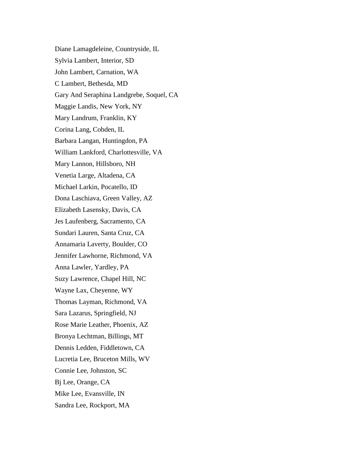Diane Lamagdeleine, Countryside, IL Sylvia Lambert, Interior, SD John Lambert, Carnation, WA C Lambert, Bethesda, MD Gary And Seraphina Landgrebe, Soquel, CA Maggie Landis, New York, NY Mary Landrum, Franklin, KY Corina Lang, Cobden, IL Barbara Langan, Huntingdon, PA William Lankford, Charlottesville, VA Mary Lannon, Hillsboro, NH Venetia Large, Altadena, CA Michael Larkin, Pocatello, ID Dona Laschiava, Green Valley, AZ Elizabeth Lasensky, Davis, CA Jes Laufenberg, Sacramento, CA Sundari Lauren, Santa Cruz, CA Annamaria Laverty, Boulder, CO Jennifer Lawhorne, Richmond, VA Anna Lawler, Yardley, PA Suzy Lawrence, Chapel Hill, NC Wayne Lax, Cheyenne, WY Thomas Layman, Richmond, VA Sara Lazarus, Springfield, NJ Rose Marie Leather, Phoenix, AZ Bronya Lechtman, Billings, MT Dennis Ledden, Fiddletown, CA Lucretia Lee, Bruceton Mills, WV Connie Lee, Johnston, SC Bj Lee, Orange, CA Mike Lee, Evansville, IN Sandra Lee, Rockport, MA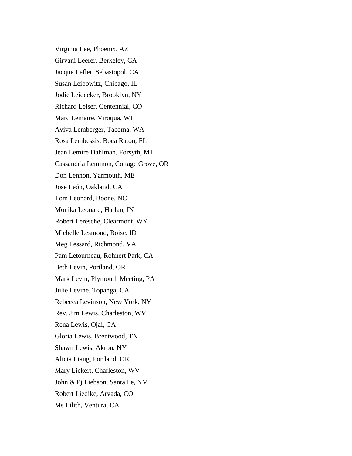Virginia Lee, Phoenix, AZ Girvani Leerer, Berkeley, CA Jacque Lefler, Sebastopol, CA Susan Leibowitz, Chicago, IL Jodie Leidecker, Brooklyn, NY Richard Leiser, Centennial, CO Marc Lemaire, Viroqua, WI Aviva Lemberger, Tacoma, WA Rosa Lembessis, Boca Raton, FL Jean Lemire Dahlman, Forsyth, MT Cassandria Lemmon, Cottage Grove, OR Don Lennon, Yarmouth, ME José León, Oakland, CA Tom Leonard, Boone, NC Monika Leonard, Harlan, IN Robert Leresche, Clearmont, WY Michelle Lesmond, Boise, ID Meg Lessard, Richmond, VA Pam Letourneau, Rohnert Park, CA Beth Levin, Portland, OR Mark Levin, Plymouth Meeting, PA Julie Levine, Topanga, CA Rebecca Levinson, New York, NY Rev. Jim Lewis, Charleston, WV Rena Lewis, Ojai, CA Gloria Lewis, Brentwood, TN Shawn Lewis, Akron, NY Alicia Liang, Portland, OR Mary Lickert, Charleston, WV John & Pj Liebson, Santa Fe, NM Robert Liedike, Arvada, CO Ms Lilith, Ventura, CA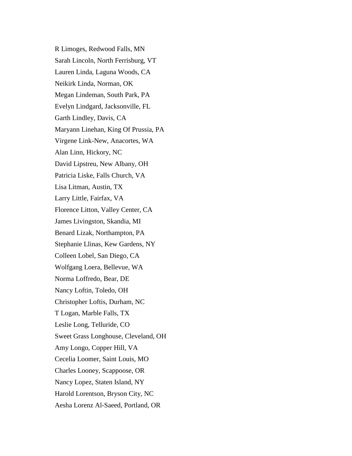R Limoges, Redwood Falls, MN Sarah Lincoln, North Ferrisburg, VT Lauren Linda, Laguna Woods, CA Neikirk Linda, Norman, OK Megan Lindeman, South Park, PA Evelyn Lindgard, Jacksonville, FL Garth Lindley, Davis, CA Maryann Linehan, King Of Prussia, PA Virgene Link-New, Anacortes, WA Alan Linn, Hickory, NC David Lipstreu, New Albany, OH Patricia Liske, Falls Church, VA Lisa Litman, Austin, TX Larry Little, Fairfax, VA Florence Litton, Valley Center, CA James Livingston, Skandia, MI Benard Lizak, Northampton, PA Stephanie Llinas, Kew Gardens, NY Colleen Lobel, San Diego, CA Wolfgang Loera, Bellevue, WA Norma Loffredo, Bear, DE Nancy Loftin, Toledo, OH Christopher Loftis, Durham, NC T Logan, Marble Falls, TX Leslie Long, Telluride, CO Sweet Grass Longhouse, Cleveland, OH Amy Longo, Copper Hill, VA Cecelia Loomer, Saint Louis, MO Charles Looney, Scappoose, OR Nancy Lopez, Staten Island, NY Harold Lorentson, Bryson City, NC Aesha Lorenz Al-Saeed, Portland, OR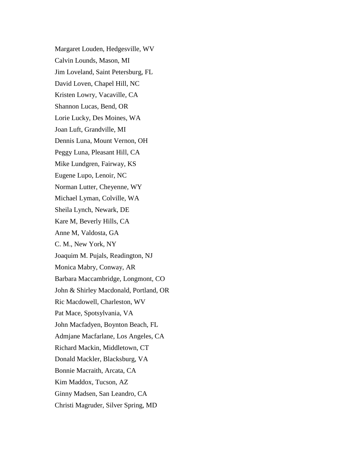Margaret Louden, Hedgesville, WV Calvin Lounds, Mason, MI Jim Loveland, Saint Petersburg, FL David Loven, Chapel Hill, NC Kristen Lowry, Vacaville, CA Shannon Lucas, Bend, OR Lorie Lucky, Des Moines, WA Joan Luft, Grandville, MI Dennis Luna, Mount Vernon, OH Peggy Luna, Pleasant Hill, CA Mike Lundgren, Fairway, KS Eugene Lupo, Lenoir, NC Norman Lutter, Cheyenne, WY Michael Lyman, Colville, WA Sheila Lynch, Newark, DE Kare M, Beverly Hills, CA Anne M, Valdosta, GA C. M., New York, NY Joaquim M. Pujals, Readington, NJ Monica Mabry, Conway, AR Barbara Maccambridge, Longmont, CO John & Shirley Macdonald, Portland, OR Ric Macdowell, Charleston, WV Pat Mace, Spotsylvania, VA John Macfadyen, Boynton Beach, FL Admjane Macfarlane, Los Angeles, CA Richard Mackin, Middletown, CT Donald Mackler, Blacksburg, VA Bonnie Macraith, Arcata, CA Kim Maddox, Tucson, AZ Ginny Madsen, San Leandro, CA Christi Magruder, Silver Spring, MD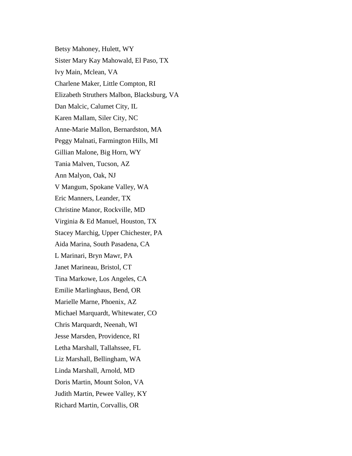Betsy Mahoney, Hulett, WY Sister Mary Kay Mahowald, El Paso, TX Ivy Main, Mclean, VA Charlene Maker, Little Compton, RI Elizabeth Struthers Malbon, Blacksburg, VA Dan Malcic, Calumet City, IL Karen Mallam, Siler City, NC Anne-Marie Mallon, Bernardston, MA Peggy Malnati, Farmington Hills, MI Gillian Malone, Big Horn, WY Tania Malven, Tucson, AZ Ann Malyon, Oak, NJ V Mangum, Spokane Valley, WA Eric Manners, Leander, TX Christine Manor, Rockville, MD Virginia & Ed Manuel, Houston, TX Stacey Marchig, Upper Chichester, PA Aida Marina, South Pasadena, CA L Marinari, Bryn Mawr, PA Janet Marineau, Bristol, CT Tina Markowe, Los Angeles, CA Emilie Marlinghaus, Bend, OR Marielle Marne, Phoenix, AZ Michael Marquardt, Whitewater, CO Chris Marquardt, Neenah, WI Jesse Marsden, Providence, RI Letha Marshall, Tallahssee, FL Liz Marshall, Bellingham, WA Linda Marshall, Arnold, MD Doris Martin, Mount Solon, VA Judith Martin, Pewee Valley, KY Richard Martin, Corvallis, OR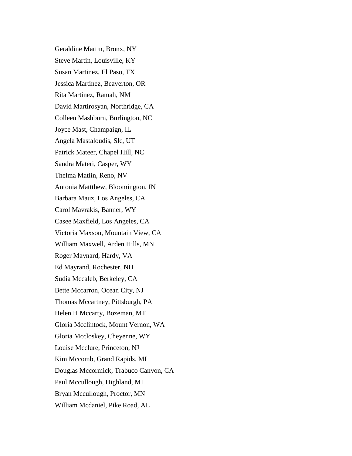Geraldine Martin, Bronx, NY Steve Martin, Louisville, KY Susan Martinez, El Paso, TX Jessica Martinez, Beaverton, OR Rita Martinez, Ramah, NM David Martirosyan, Northridge, CA Colleen Mashburn, Burlington, NC Joyce Mast, Champaign, IL Angela Mastaloudis, Slc, UT Patrick Mateer, Chapel Hill, NC Sandra Materi, Casper, WY Thelma Matlin, Reno, NV Antonia Mattthew, Bloomington, IN Barbara Mauz, Los Angeles, CA Carol Mavrakis, Banner, WY Casee Maxfield, Los Angeles, CA Victoria Maxson, Mountain View, CA William Maxwell, Arden Hills, MN Roger Maynard, Hardy, VA Ed Mayrand, Rochester, NH Sudia Mccaleb, Berkeley, CA Bette Mccarron, Ocean City, NJ Thomas Mccartney, Pittsburgh, PA Helen H Mccarty, Bozeman, MT Gloria Mcclintock, Mount Vernon, WA Gloria Mccloskey, Cheyenne, WY Louise Mcclure, Princeton, NJ Kim Mccomb, Grand Rapids, MI Douglas Mccormick, Trabuco Canyon, CA Paul Mccullough, Highland, MI Bryan Mccullough, Proctor, MN William Mcdaniel, Pike Road, AL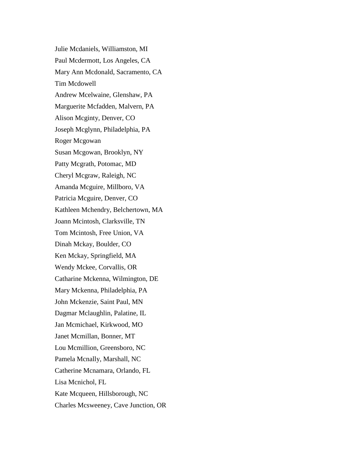Julie Mcdaniels, Williamston, MI Paul Mcdermott, Los Angeles, CA Mary Ann Mcdonald, Sacramento, CA Tim Mcdowell Andrew Mcelwaine, Glenshaw, PA Marguerite Mcfadden, Malvern, PA Alison Mcginty, Denver, CO Joseph Mcglynn, Philadelphia, PA Roger Mcgowan Susan Mcgowan, Brooklyn, NY Patty Mcgrath, Potomac, MD Cheryl Mcgraw, Raleigh, NC Amanda Mcguire, Millboro, VA Patricia Mcguire, Denver, CO Kathleen Mchendry, Belchertown, MA Joann Mcintosh, Clarksville, TN Tom Mcintosh, Free Union, VA Dinah Mckay, Boulder, CO Ken Mckay, Springfield, MA Wendy Mckee, Corvallis, OR Catharine Mckenna, Wilmington, DE Mary Mckenna, Philadelphia, PA John Mckenzie, Saint Paul, MN Dagmar Mclaughlin, Palatine, IL Jan Mcmichael, Kirkwood, MO Janet Mcmillan, Bonner, MT Lou Mcmillion, Greensboro, NC Pamela Mcnally, Marshall, NC Catherine Mcnamara, Orlando, FL Lisa Mcnichol, FL Kate Mcqueen, Hillsborough, NC Charles Mcsweeney, Cave Junction, OR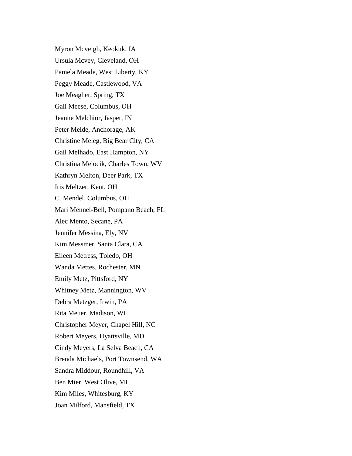Myron Mcveigh, Keokuk, IA Ursula Mcvey, Cleveland, OH Pamela Meade, West Liberty, KY Peggy Meade, Castlewood, VA Joe Meagher, Spring, TX Gail Meese, Columbus, OH Jeanne Melchior, Jasper, IN Peter Melde, Anchorage, AK Christine Meleg, Big Bear City, CA Gail Melhado, East Hampton, NY Christina Melocik, Charles Town, WV Kathryn Melton, Deer Park, TX Iris Meltzer, Kent, OH C. Mendel, Columbus, OH Mari Mennel-Bell, Pompano Beach, FL Alec Mento, Secane, PA Jennifer Messina, Ely, NV Kim Messmer, Santa Clara, CA Eileen Metress, Toledo, OH Wanda Mettes, Rochester, MN Emily Metz, Pittsford, NY Whitney Metz, Mannington, WV Debra Metzger, Irwin, PA Rita Meuer, Madison, WI Christopher Meyer, Chapel Hill, NC Robert Meyers, Hyattsville, MD Cindy Meyers, La Selva Beach, CA Brenda Michaels, Port Townsend, WA Sandra Middour, Roundhill, VA Ben Mier, West Olive, MI Kim Miles, Whitesburg, KY Joan Milford, Mansfield, TX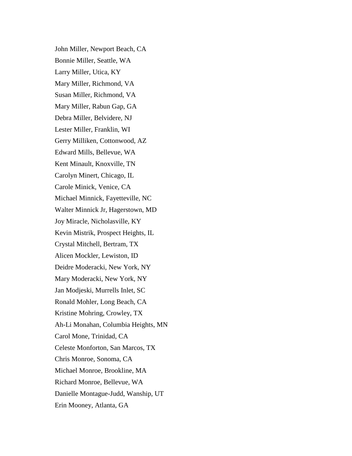John Miller, Newport Beach, CA Bonnie Miller, Seattle, WA Larry Miller, Utica, KY Mary Miller, Richmond, VA Susan Miller, Richmond, VA Mary Miller, Rabun Gap, GA Debra Miller, Belvidere, NJ Lester Miller, Franklin, WI Gerry Milliken, Cottonwood, AZ Edward Mills, Bellevue, WA Kent Minault, Knoxville, TN Carolyn Minert, Chicago, IL Carole Minick, Venice, CA Michael Minnick, Fayetteville, NC Walter Minnick Jr, Hagerstown, MD Joy Miracle, Nicholasville, KY Kevin Mistrik, Prospect Heights, IL Crystal Mitchell, Bertram, TX Alicen Mockler, Lewiston, ID Deidre Moderacki, New York, NY Mary Moderacki, New York, NY Jan Modjeski, Murrells Inlet, SC Ronald Mohler, Long Beach, CA Kristine Mohring, Crowley, TX Ah-Li Monahan, Columbia Heights, MN Carol Mone, Trinidad, CA Celeste Monforton, San Marcos, TX Chris Monroe, Sonoma, CA Michael Monroe, Brookline, MA Richard Monroe, Bellevue, WA Danielle Montague-Judd, Wanship, UT Erin Mooney, Atlanta, GA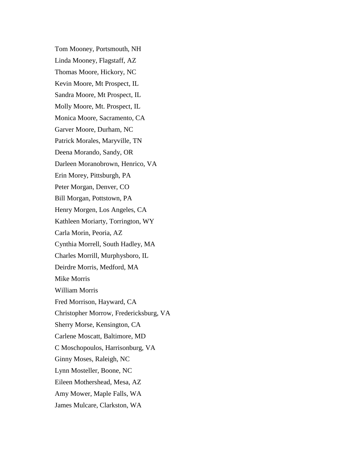Tom Mooney, Portsmouth, NH Linda Mooney, Flagstaff, AZ Thomas Moore, Hickory, NC Kevin Moore, Mt Prospect, IL Sandra Moore, Mt Prospect, IL Molly Moore, Mt. Prospect, IL Monica Moore, Sacramento, CA Garver Moore, Durham, NC Patrick Morales, Maryville, TN Deena Morando, Sandy, OR Darleen Moranobrown, Henrico, VA Erin Morey, Pittsburgh, PA Peter Morgan, Denver, CO Bill Morgan, Pottstown, PA Henry Morgen, Los Angeles, CA Kathleen Moriarty, Torrington, WY Carla Morin, Peoria, AZ Cynthia Morrell, South Hadley, MA Charles Morrill, Murphysboro, IL Deirdre Morris, Medford, MA Mike Morris William Morris Fred Morrison, Hayward, CA Christopher Morrow, Fredericksburg, VA Sherry Morse, Kensington, CA Carlene Moscatt, Baltimore, MD C Moschopoulos, Harrisonburg, VA Ginny Moses, Raleigh, NC Lynn Mosteller, Boone, NC Eileen Mothershead, Mesa, AZ Amy Mower, Maple Falls, WA James Mulcare, Clarkston, WA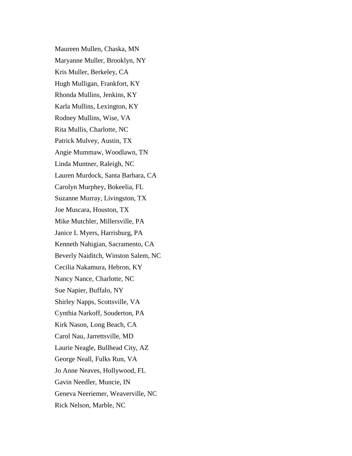Maureen Mullen, Chaska, MN Maryanne Muller, Brooklyn, NY Kris Muller, Berkeley, CA Hugh Mulligan, Frankfort, KY Rhonda Mullins, Jenkins, KY Karla Mullins, Lexington, KY Rodney Mullins, Wise, VA Rita Mullis, Charlotte, NC Patrick Mulvey, Austin, TX Angie Mummaw, Woodlawn, TN Linda Muntner, Raleigh, NC Lauren Murdock, Santa Barbara, CA Carolyn Murphey, Bokeelia, FL Suzanne Murray, Livingston, TX Joe Muscara, Houston, TX Mike Mutchler, Millersville, PA Janice L Myers, Harrisburg, PA Kenneth Nahigian, Sacramento, CA Beverly Naiditch, Winston Salem, NC Cecilia Nakamura, Hebron, KY Nancy Nance, Charlotte, NC Sue Napier, Buffalo, NY Shirley Napps, Scottsville, VA Cynthia Narkoff, Souderton, PA Kirk Nason, Long Beach, CA Carol Nau, Jarrettsville, MD Laurie Neagle, Bullhead City, AZ George Neall, Fulks Run, VA Jo Anne Neaves, Hollywood, FL Gavin Needler, Muncie, IN Geneva Neeriemer, Weaverville, NC Rick Nelson, Marble, NC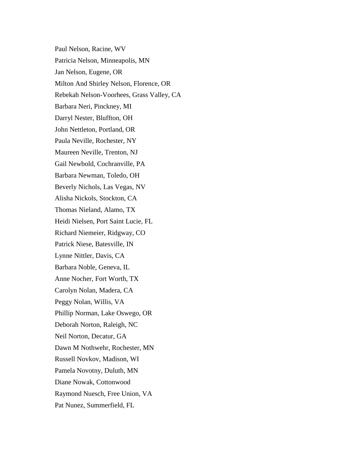Paul Nelson, Racine, WV Patricia Nelson, Minneapolis, MN Jan Nelson, Eugene, OR Milton And Shirley Nelson, Florence, OR Rebekah Nelson-Voorhees, Grass Valley, CA Barbara Neri, Pinckney, MI Darryl Nester, Bluffton, OH John Nettleton, Portland, OR Paula Neville, Rochester, NY Maureen Neville, Trenton, NJ Gail Newbold, Cochranville, PA Barbara Newman, Toledo, OH Beverly Nichols, Las Vegas, NV Alisha Nickols, Stockton, CA Thomas Nieland, Alamo, TX Heidi Nielsen, Port Saint Lucie, FL Richard Niemeier, Ridgway, CO Patrick Niese, Batesville, IN Lynne Nittler, Davis, CA Barbara Noble, Geneva, IL Anne Nocher, Fort Worth, TX Carolyn Nolan, Madera, CA Peggy Nolan, Willis, VA Phillip Norman, Lake Oswego, OR Deborah Norton, Raleigh, NC Neil Norton, Decatur, GA Dawn M Nothwehr, Rochester, MN Russell Novkov, Madison, WI Pamela Novotny, Duluth, MN Diane Nowak, Cottonwood Raymond Nuesch, Free Union, VA Pat Nunez, Summerfield, FL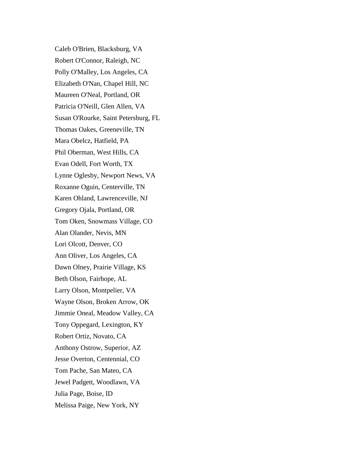Caleb O'Brien, Blacksburg, VA Robert O'Connor, Raleigh, NC Polly O'Malley, Los Angeles, CA Elizabeth O'Nan, Chapel Hill, NC Maureen O'Neal, Portland, OR Patricia O'Neill, Glen Allen, VA Susan O'Rourke, Saint Petersburg, FL Thomas Oakes, Greeneville, TN Mara Obelcz, Hatfield, PA Phil Oberman, West Hills, CA Evan Odell, Fort Worth, TX Lynne Oglesby, Newport News, VA Roxanne Oguin, Centerville, TN Karen Ohland, Lawrenceville, NJ Gregory Ojala, Portland, OR Tom Oken, Snowmass Village, CO Alan Olander, Nevis, MN Lori Olcott, Denver, CO Ann Oliver, Los Angeles, CA Dawn Olney, Prairie Village, KS Beth Olson, Fairhope, AL Larry Olson, Montpelier, VA Wayne Olson, Broken Arrow, OK Jimmie Oneal, Meadow Valley, CA Tony Oppegard, Lexington, KY Robert Ortiz, Novato, CA Anthony Ostrow, Superior, AZ Jesse Overton, Centennial, CO Tom Pache, San Mateo, CA Jewel Padgett, Woodlawn, VA Julia Page, Boise, ID Melissa Paige, New York, NY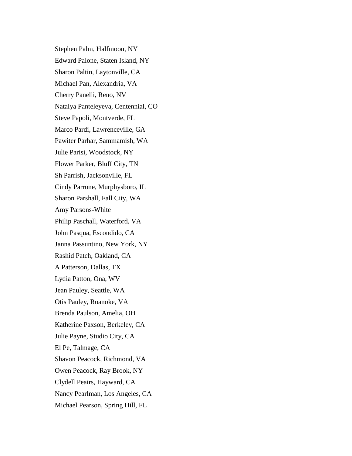Stephen Palm, Halfmoon, NY Edward Palone, Staten Island, NY Sharon Paltin, Laytonville, CA Michael Pan, Alexandria, VA Cherry Panelli, Reno, NV Natalya Panteleyeva, Centennial, CO Steve Papoli, Montverde, FL Marco Pardi, Lawrenceville, GA Pawiter Parhar, Sammamish, WA Julie Parisi, Woodstock, NY Flower Parker, Bluff City, TN Sh Parrish, Jacksonville, FL Cindy Parrone, Murphysboro, IL Sharon Parshall, Fall City, WA Amy Parsons-White Philip Paschall, Waterford, VA John Pasqua, Escondido, CA Janna Passuntino, New York, NY Rashid Patch, Oakland, CA A Patterson, Dallas, TX Lydia Patton, Ona, WV Jean Pauley, Seattle, WA Otis Pauley, Roanoke, VA Brenda Paulson, Amelia, OH Katherine Paxson, Berkeley, CA Julie Payne, Studio City, CA El Pe, Talmage, CA Shavon Peacock, Richmond, VA Owen Peacock, Ray Brook, NY Clydell Peairs, Hayward, CA Nancy Pearlman, Los Angeles, CA Michael Pearson, Spring Hill, FL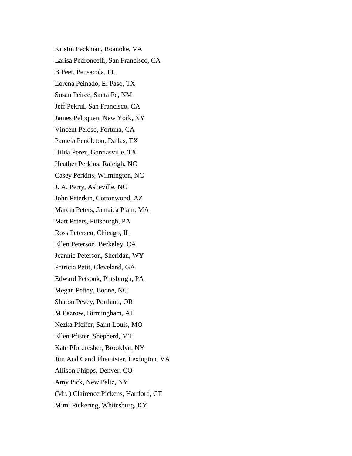Kristin Peckman, Roanoke, VA Larisa Pedroncelli, San Francisco, CA B Peet, Pensacola, FL Lorena Peinado, El Paso, TX Susan Peirce, Santa Fe, NM Jeff Pekrul, San Francisco, CA James Peloquen, New York, NY Vincent Peloso, Fortuna, CA Pamela Pendleton, Dallas, TX Hilda Perez, Garciasville, TX Heather Perkins, Raleigh, NC Casey Perkins, Wilmington, NC J. A. Perry, Asheville, NC John Peterkin, Cottonwood, AZ Marcia Peters, Jamaica Plain, MA Matt Peters, Pittsburgh, PA Ross Petersen, Chicago, IL Ellen Peterson, Berkeley, CA Jeannie Peterson, Sheridan, WY Patricia Petit, Cleveland, GA Edward Petsonk, Pittsburgh, PA Megan Pettey, Boone, NC Sharon Pevey, Portland, OR M Pezrow, Birmingham, AL Nezka Pfeifer, Saint Louis, MO Ellen Pfister, Shepherd, MT Kate Pfordresher, Brooklyn, NY Jim And Carol Phemister, Lexington, VA Allison Phipps, Denver, CO Amy Pick, New Paltz, NY (Mr. ) Clairence Pickens, Hartford, CT Mimi Pickering, Whitesburg, KY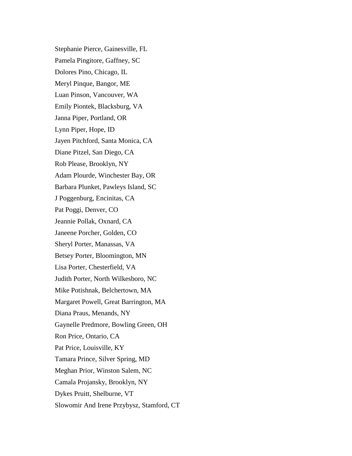Stephanie Pierce, Gainesville, FL Pamela Pingitore, Gaffney, SC Dolores Pino, Chicago, IL Meryl Pinque, Bangor, ME Luan Pinson, Vancouver, WA Emily Piontek, Blacksburg, VA Janna Piper, Portland, OR Lynn Piper, Hope, ID Jayen Pitchford, Santa Monica, CA Diane Pitzel, San Diego, CA Rob Please, Brooklyn, NY Adam Plourde, Winchester Bay, OR Barbara Plunket, Pawleys Island, SC J Poggenburg, Encinitas, CA Pat Poggi, Denver, CO Jeannie Pollak, Oxnard, CA Janeene Porcher, Golden, CO Sheryl Porter, Manassas, VA Betsey Porter, Bloomington, MN Lisa Porter, Chesterfield, VA Judith Porter, North Wilkesboro, NC Mike Potishnak, Belchertown, MA Margaret Powell, Great Barrington, MA Diana Praus, Menands, NY Gaynelle Predmore, Bowling Green, OH Ron Price, Ontario, CA Pat Price, Louisville, KY Tamara Prince, Silver Spring, MD Meghan Prior, Winston Salem, NC Camala Projansky, Brooklyn, NY Dykes Pruitt, Shelburne, VT Slowomir And Irene Przybysz, Stamford, CT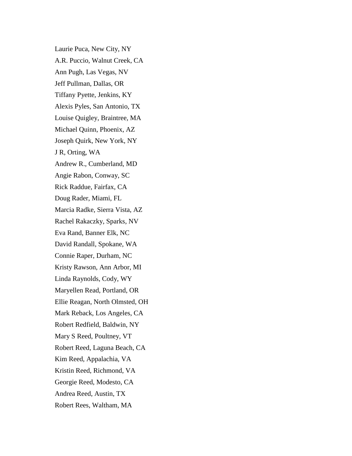Laurie Puca, New City, NY A.R. Puccio, Walnut Creek, CA Ann Pugh, Las Vegas, NV Jeff Pullman, Dallas, OR Tiffany Pyette, Jenkins, KY Alexis Pyles, San Antonio, TX Louise Quigley, Braintree, MA Michael Quinn, Phoenix, AZ Joseph Quirk, New York, NY J R, Orting, WA Andrew R., Cumberland, MD Angie Rabon, Conway, SC Rick Raddue, Fairfax, CA Doug Rader, Miami, FL Marcia Radke, Sierra Vista, AZ Rachel Rakaczky, Sparks, NV Eva Rand, Banner Elk, NC David Randall, Spokane, WA Connie Raper, Durham, NC Kristy Rawson, Ann Arbor, MI Linda Raynolds, Cody, WY Maryellen Read, Portland, OR Ellie Reagan, North Olmsted, OH Mark Reback, Los Angeles, CA Robert Redfield, Baldwin, NY Mary S Reed, Poultney, VT Robert Reed, Laguna Beach, CA Kim Reed, Appalachia, VA Kristin Reed, Richmond, VA Georgie Reed, Modesto, CA Andrea Reed, Austin, TX Robert Rees, Waltham, MA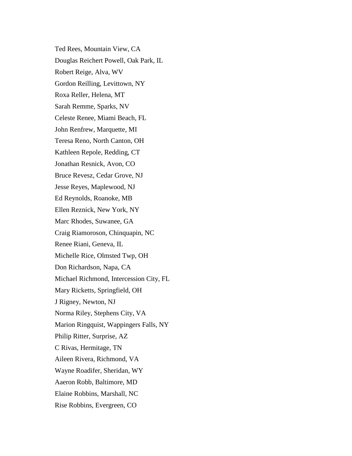Ted Rees, Mountain View, CA Douglas Reichert Powell, Oak Park, IL Robert Reige, Alva, WV Gordon Reilling, Levittown, NY Roxa Reller, Helena, MT Sarah Remme, Sparks, NV Celeste Renee, Miami Beach, FL John Renfrew, Marquette, MI Teresa Reno, North Canton, OH Kathleen Repole, Redding, CT Jonathan Resnick, Avon, CO Bruce Revesz, Cedar Grove, NJ Jesse Reyes, Maplewood, NJ Ed Reynolds, Roanoke, MB Ellen Reznick, New York, NY Marc Rhodes, Suwanee, GA Craig Riamoroson, Chinquapin, NC Renee Riani, Geneva, IL Michelle Rice, Olmsted Twp, OH Don Richardson, Napa, CA Michael Richmond, Intercession City, FL Mary Ricketts, Springfield, OH J Rigney, Newton, NJ Norma Riley, Stephens City, VA Marion Ringquist, Wappingers Falls, NY Philip Ritter, Surprise, AZ C Rivas, Hermitage, TN Aileen Rivera, Richmond, VA Wayne Roadifer, Sheridan, WY Aaeron Robb, Baltimore, MD Elaine Robbins, Marshall, NC Rise Robbins, Evergreen, CO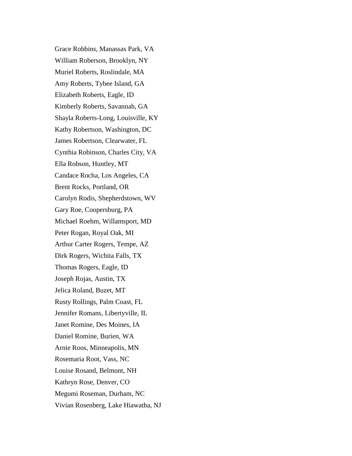Grace Robbins, Manassas Park, VA William Roberson, Brooklyn, NY Muriel Roberts, Roslindale, MA Amy Roberts, Tybee Island, GA Elizabeth Roberts, Eagle, ID Kimberly Roberts, Savannah, GA Shayla Roberts-Long, Louisville, KY Kathy Robertson, Washington, DC James Robertson, Clearwater, FL Cynthia Robinson, Charles City, VA Ella Robson, Huntley, MT Candace Rocha, Los Angeles, CA Brent Rocks, Portland, OR Carolyn Rodis, Shepherdstown, WV Gary Roe, Coopersburg, PA Michael Roehm, Willamsport, MD Peter Rogan, Royal Oak, MI Arthur Carter Rogers, Tempe, AZ Dirk Rogers, Wichita Falls, TX Thomas Rogers, Eagle, ID Joseph Rojas, Austin, TX Jelica Roland, Buzet, MT Rusty Rollings, Palm Coast, FL Jennifer Romans, Libertyville, IL Janet Romine, Des Moines, IA Daniel Romine, Burien, WA Arnie Roos, Minneapolis, MN Rosemaria Root, Vass, NC Louise Rosand, Belmont, NH Kathryn Rose, Denver, CO Megumi Roseman, Durham, NC Vivian Rosenberg, Lake Hiawatha, NJ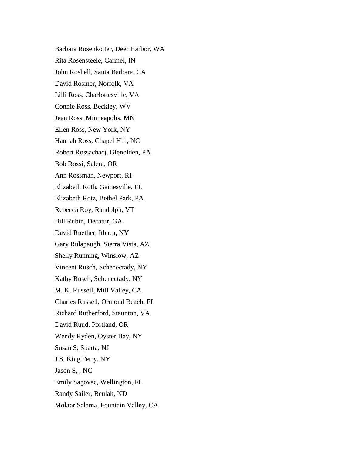Barbara Rosenkotter, Deer Harbor, WA Rita Rosensteele, Carmel, IN John Roshell, Santa Barbara, CA David Rosmer, Norfolk, VA Lilli Ross, Charlottesville, VA Connie Ross, Beckley, WV Jean Ross, Minneapolis, MN Ellen Ross, New York, NY Hannah Ross, Chapel Hill, NC Robert Rossachacj, Glenolden, PA Bob Rossi, Salem, OR Ann Rossman, Newport, RI Elizabeth Roth, Gainesville, FL Elizabeth Rotz, Bethel Park, PA Rebecca Roy, Randolph, VT Bill Rubin, Decatur, GA David Ruether, Ithaca, NY Gary Rulapaugh, Sierra Vista, AZ Shelly Running, Winslow, AZ Vincent Rusch, Schenectady, NY Kathy Rusch, Schenectady, NY M. K. Russell, Mill Valley, CA Charles Russell, Ormond Beach, FL Richard Rutherford, Staunton, VA David Ruud, Portland, OR Wendy Ryden, Oyster Bay, NY Susan S, Sparta, NJ J S, King Ferry, NY Jason S, , NC Emily Sagovac, Wellington, FL Randy Sailer, Beulah, ND Moktar Salama, Fountain Valley, CA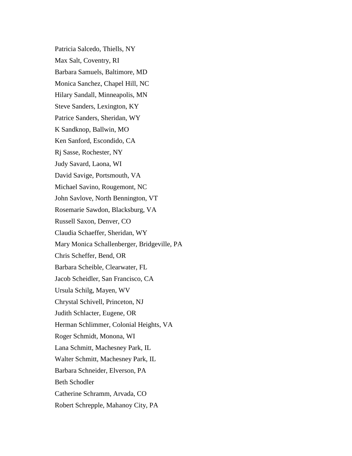Patricia Salcedo, Thiells, NY Max Salt, Coventry, RI Barbara Samuels, Baltimore, MD Monica Sanchez, Chapel Hill, NC Hilary Sandall, Minneapolis, MN Steve Sanders, Lexington, KY Patrice Sanders, Sheridan, WY K Sandknop, Ballwin, MO Ken Sanford, Escondido, CA Rj Sasse, Rochester, NY Judy Savard, Laona, WI David Savige, Portsmouth, VA Michael Savino, Rougemont, NC John Savlove, North Bennington, VT Rosemarie Sawdon, Blacksburg, VA Russell Saxon, Denver, CO Claudia Schaeffer, Sheridan, WY Mary Monica Schallenberger, Bridgeville, PA Chris Scheffer, Bend, OR Barbara Scheible, Clearwater, FL Jacob Scheidler, San Francisco, CA Ursula Schilg, Mayen, WV Chrystal Schivell, Princeton, NJ Judith Schlacter, Eugene, OR Herman Schlimmer, Colonial Heights, VA Roger Schmidt, Monona, WI Lana Schmitt, Machesney Park, IL Walter Schmitt, Machesney Park, IL Barbara Schneider, Elverson, PA Beth Schodler Catherine Schramm, Arvada, CO Robert Schrepple, Mahanoy City, PA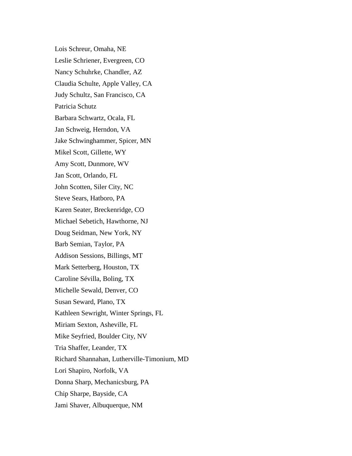Lois Schreur, Omaha, NE Leslie Schriener, Evergreen, CO Nancy Schuhrke, Chandler, AZ Claudia Schulte, Apple Valley, CA Judy Schultz, San Francisco, CA Patricia Schutz Barbara Schwartz, Ocala, FL Jan Schweig, Herndon, VA Jake Schwinghammer, Spicer, MN Mikel Scott, Gillette, WY Amy Scott, Dunmore, WV Jan Scott, Orlando, FL John Scotten, Siler City, NC Steve Sears, Hatboro, PA Karen Seater, Breckenridge, CO Michael Sebetich, Hawthorne, NJ Doug Seidman, New York, NY Barb Semian, Taylor, PA Addison Sessions, Billings, MT Mark Setterberg, Houston, TX Caroline Sévilla, Boling, TX Michelle Sewald, Denver, CO Susan Seward, Plano, TX Kathleen Sewright, Winter Springs, FL Miriam Sexton, Asheville, FL Mike Seyfried, Boulder City, NV Tria Shaffer, Leander, TX Richard Shannahan, Lutherville-Timonium, MD Lori Shapiro, Norfolk, VA Donna Sharp, Mechanicsburg, PA Chip Sharpe, Bayside, CA Jami Shaver, Albuquerque, NM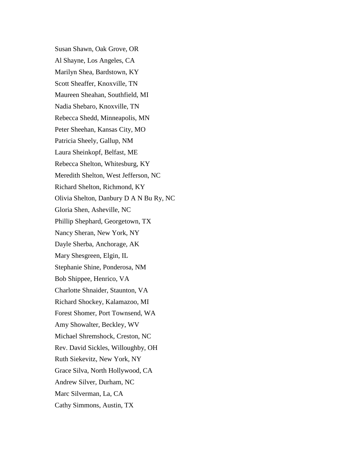Susan Shawn, Oak Grove, OR Al Shayne, Los Angeles, CA Marilyn Shea, Bardstown, KY Scott Sheaffer, Knoxville, TN Maureen Sheahan, Southfield, MI Nadia Shebaro, Knoxville, TN Rebecca Shedd, Minneapolis, MN Peter Sheehan, Kansas City, MO Patricia Sheely, Gallup, NM Laura Sheinkopf, Belfast, ME Rebecca Shelton, Whitesburg, KY Meredith Shelton, West Jefferson, NC Richard Shelton, Richmond, KY Olivia Shelton, Danbury D A N Bu Ry, NC Gloria Shen, Asheville, NC Phillip Shephard, Georgetown, TX Nancy Sheran, New York, NY Dayle Sherba, Anchorage, AK Mary Shesgreen, Elgin, IL Stephanie Shine, Ponderosa, NM Bob Shippee, Henrico, VA Charlotte Shnaider, Staunton, VA Richard Shockey, Kalamazoo, MI Forest Shomer, Port Townsend, WA Amy Showalter, Beckley, WV Michael Shremshock, Creston, NC Rev. David Sickles, Willoughby, OH Ruth Siekevitz, New York, NY Grace Silva, North Hollywood, CA Andrew Silver, Durham, NC Marc Silverman, La, CA Cathy Simmons, Austin, TX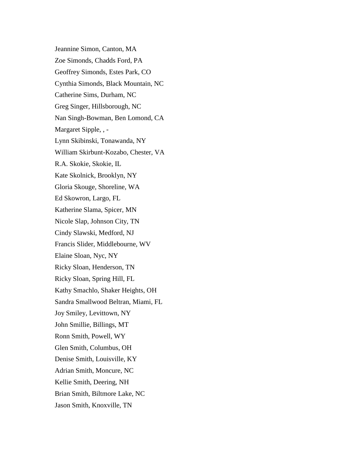Jeannine Simon, Canton, MA Zoe Simonds, Chadds Ford, PA Geoffrey Simonds, Estes Park, CO Cynthia Simonds, Black Mountain, NC Catherine Sims, Durham, NC Greg Singer, Hillsborough, NC Nan Singh-Bowman, Ben Lomond, CA Margaret Sipple, , - Lynn Skibinski, Tonawanda, NY William Skirbunt-Kozabo, Chester, VA R.A. Skokie, Skokie, IL Kate Skolnick, Brooklyn, NY Gloria Skouge, Shoreline, WA Ed Skowron, Largo, FL Katherine Slama, Spicer, MN Nicole Slap, Johnson City, TN Cindy Slawski, Medford, NJ Francis Slider, Middlebourne, WV Elaine Sloan, Nyc, NY Ricky Sloan, Henderson, TN Ricky Sloan, Spring Hill, FL Kathy Smachlo, Shaker Heights, OH Sandra Smallwood Beltran, Miami, FL Joy Smiley, Levittown, NY John Smillie, Billings, MT Ronn Smith, Powell, WY Glen Smith, Columbus, OH Denise Smith, Louisville, KY Adrian Smith, Moncure, NC Kellie Smith, Deering, NH Brian Smith, Biltmore Lake, NC Jason Smith, Knoxville, TN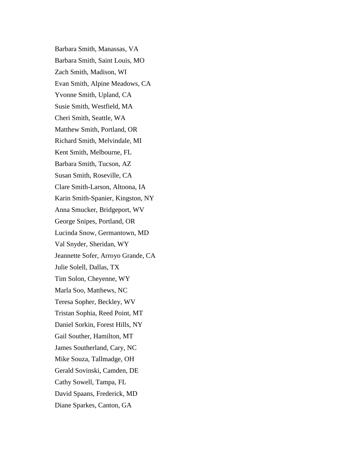Barbara Smith, Manassas, VA Barbara Smith, Saint Louis, MO Zach Smith, Madison, WI Evan Smith, Alpine Meadows, CA Yvonne Smith, Upland, CA Susie Smith, Westfield, MA Cheri Smith, Seattle, WA Matthew Smith, Portland, OR Richard Smith, Melvindale, MI Kent Smith, Melbourne, FL Barbara Smith, Tucson, AZ Susan Smith, Roseville, CA Clare Smith-Larson, Altoona, IA Karin Smith-Spanier, Kingston, NY Anna Smucker, Bridgeport, WV George Snipes, Portland, OR Lucinda Snow, Germantown, MD Val Snyder, Sheridan, WY Jeannette Sofer, Arroyo Grande, CA Julie Solell, Dallas, TX Tim Solon, Cheyenne, WY Marla Soo, Matthews, NC Teresa Sopher, Beckley, WV Tristan Sophia, Reed Point, MT Daniel Sorkin, Forest Hills, NY Gail Souther, Hamilton, MT James Southerland, Cary, NC Mike Souza, Tallmadge, OH Gerald Sovinski, Camden, DE Cathy Sowell, Tampa, FL David Spaans, Frederick, MD Diane Sparkes, Canton, GA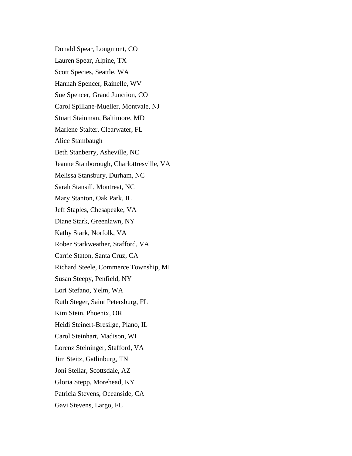Donald Spear, Longmont, CO Lauren Spear, Alpine, TX Scott Species, Seattle, WA Hannah Spencer, Rainelle, WV Sue Spencer, Grand Junction, CO Carol Spillane-Mueller, Montvale, NJ Stuart Stainman, Baltimore, MD Marlene Stalter, Clearwater, FL Alice Stambaugh Beth Stanberry, Asheville, NC Jeanne Stanborough, Charlottresville, VA Melissa Stansbury, Durham, NC Sarah Stansill, Montreat, NC Mary Stanton, Oak Park, IL Jeff Staples, Chesapeake, VA Diane Stark, Greenlawn, NY Kathy Stark, Norfolk, VA Rober Starkweather, Stafford, VA Carrie Staton, Santa Cruz, CA Richard Steele, Commerce Township, MI Susan Steepy, Penfield, NY Lori Stefano, Yelm, WA Ruth Steger, Saint Petersburg, FL Kim Stein, Phoenix, OR Heidi Steinert-Bresilge, Plano, IL Carol Steinhart, Madison, WI Lorenz Steininger, Stafford, VA Jim Steitz, Gatlinburg, TN Joni Stellar, Scottsdale, AZ Gloria Stepp, Morehead, KY Patricia Stevens, Oceanside, CA Gavi Stevens, Largo, FL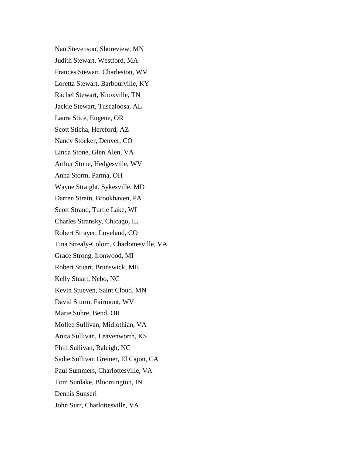Nan Stevenson, Shoreview, MN Judith Stewart, Westford, MA Frances Stewart, Charleston, WV Loretta Stewart, Barbourville, KY Rachel Stewart, Knoxville, TN Jackie Stewart, Tuscaloosa, AL Laura Stice, Eugene, OR Scott Sticha, Hereford, AZ Nancy Stocker, Denver, CO Linda Stone, Glen Alen, VA Arthur Stone, Hedgesville, WV Anna Storm, Parma, OH Wayne Straight, Sykesville, MD Darren Strain, Brookhaven, PA Scott Strand, Turtle Lake, WI Charles Stransky, Chicago, IL Robert Strayer, Loveland, CO Tina Strealy-Colom, Charlottesville, VA Grace Strong, Ironwood, MI Robert Stuart, Brunswick, ME Kelly Stuart, Nebo, NC Kevin Stueven, Saint Cloud, MN David Sturm, Fairmont, WV Marie Suhre, Bend, OR Mollee Sullivan, Midlothian, VA Anita Sullivan, Leavenworth, KS Phill Sullivan, Raleigh, NC Sadie Sullivan Greiner, El Cajon, CA Paul Summers, Charlottesville, VA Tom Sunlake, Bloomington, IN Dennis Sunseri John Surr, Charlottesville, VA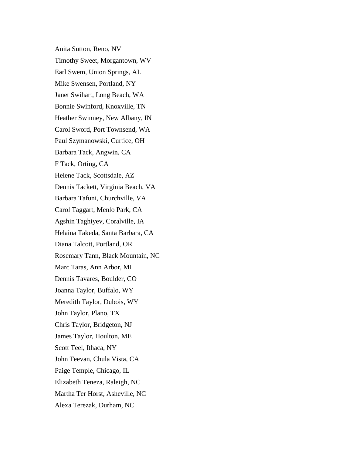Anita Sutton, Reno, NV Timothy Sweet, Morgantown, WV Earl Swem, Union Springs, AL Mike Swensen, Portland, NY Janet Swihart, Long Beach, WA Bonnie Swinford, Knoxville, TN Heather Swinney, New Albany, IN Carol Sword, Port Townsend, WA Paul Szymanowski, Curtice, OH Barbara Tack, Angwin, CA F Tack, Orting, CA Helene Tack, Scottsdale, AZ Dennis Tackett, Virginia Beach, VA Barbara Tafuni, Churchville, VA Carol Taggart, Menlo Park, CA Agshin Taghiyev, Coralville, IA Helaina Takeda, Santa Barbara, CA Diana Talcott, Portland, OR Rosemary Tann, Black Mountain, NC Marc Taras, Ann Arbor, MI Dennis Tavares, Boulder, CO Joanna Taylor, Buffalo, WY Meredith Taylor, Dubois, WY John Taylor, Plano, TX Chris Taylor, Bridgeton, NJ James Taylor, Houlton, ME Scott Teel, Ithaca, NY John Teevan, Chula Vista, CA Paige Temple, Chicago, IL Elizabeth Teneza, Raleigh, NC Martha Ter Horst, Asheville, NC Alexa Terezak, Durham, NC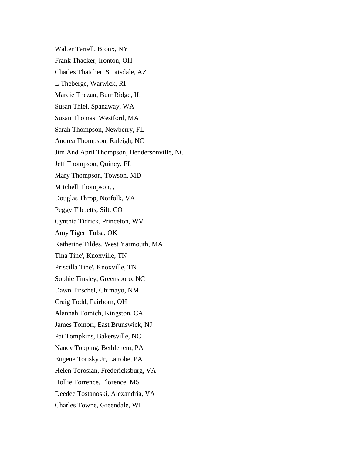Walter Terrell, Bronx, NY Frank Thacker, Ironton, OH Charles Thatcher, Scottsdale, AZ L Theberge, Warwick, RI Marcie Thezan, Burr Ridge, IL Susan Thiel, Spanaway, WA Susan Thomas, Westford, MA Sarah Thompson, Newberry, FL Andrea Thompson, Raleigh, NC Jim And April Thompson, Hendersonville, NC Jeff Thompson, Quincy, FL Mary Thompson, Towson, MD Mitchell Thompson, , Douglas Throp, Norfolk, VA Peggy Tibbetts, Silt, CO Cynthia Tidrick, Princeton, WV Amy Tiger, Tulsa, OK Katherine Tildes, West Yarmouth, MA Tina Tine', Knoxville, TN Priscilla Tine', Knoxville, TN Sophie Tinsley, Greensboro, NC Dawn Tirschel, Chimayo, NM Craig Todd, Fairborn, OH Alannah Tomich, Kingston, CA James Tomori, East Brunswick, NJ Pat Tompkins, Bakersville, NC Nancy Topping, Bethlehem, PA Eugene Torisky Jr, Latrobe, PA Helen Torosian, Fredericksburg, VA Hollie Torrence, Florence, MS Deedee Tostanoski, Alexandria, VA Charles Towne, Greendale, WI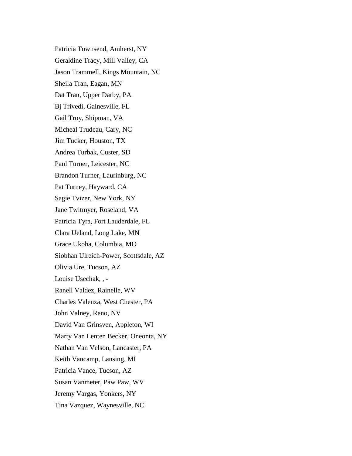Patricia Townsend, Amherst, NY Geraldine Tracy, Mill Valley, CA Jason Trammell, Kings Mountain, NC Sheila Tran, Eagan, MN Dat Tran, Upper Darby, PA Bj Trivedi, Gainesville, FL Gail Troy, Shipman, VA Micheal Trudeau, Cary, NC Jim Tucker, Houston, TX Andrea Turbak, Custer, SD Paul Turner, Leicester, NC Brandon Turner, Laurinburg, NC Pat Turney, Hayward, CA Sagie Tvizer, New York, NY Jane Twitmyer, Roseland, VA Patricia Tyra, Fort Lauderdale, FL Clara Ueland, Long Lake, MN Grace Ukoha, Columbia, MO Siobhan Ulreich-Power, Scottsdale, AZ Olivia Ure, Tucson, AZ Louise Usechak, , - Ranell Valdez, Rainelle, WV Charles Valenza, West Chester, PA John Valney, Reno, NV David Van Grinsven, Appleton, WI Marty Van Lenten Becker, Oneonta, NY Nathan Van Velson, Lancaster, PA Keith Vancamp, Lansing, MI Patricia Vance, Tucson, AZ Susan Vanmeter, Paw Paw, WV Jeremy Vargas, Yonkers, NY Tina Vazquez, Waynesville, NC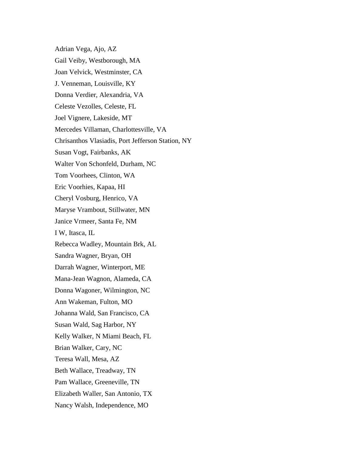Adrian Vega, Ajo, AZ Gail Veiby, Westborough, MA Joan Velvick, Westminster, CA J. Venneman, Louisville, KY Donna Verdier, Alexandria, VA Celeste Vezolles, Celeste, FL Joel Vignere, Lakeside, MT Mercedes Villaman, Charlottesville, VA Chrisanthos Vlasiadis, Port Jefferson Station, NY Susan Vogt, Fairbanks, AK Walter Von Schonfeld, Durham, NC Tom Voorhees, Clinton, WA Eric Voorhies, Kapaa, HI Cheryl Vosburg, Henrico, VA Maryse Vrambout, Stillwater, MN Janice Vrmeer, Santa Fe, NM I W, Itasca, IL Rebecca Wadley, Mountain Brk, AL Sandra Wagner, Bryan, OH Darrah Wagner, Winterport, ME Mana-Jean Wagnon, Alameda, CA Donna Wagoner, Wilmington, NC Ann Wakeman, Fulton, MO Johanna Wald, San Francisco, CA Susan Wald, Sag Harbor, NY Kelly Walker, N Miami Beach, FL Brian Walker, Cary, NC Teresa Wall, Mesa, AZ Beth Wallace, Treadway, TN Pam Wallace, Greeneville, TN Elizabeth Waller, San Antonio, TX Nancy Walsh, Independence, MO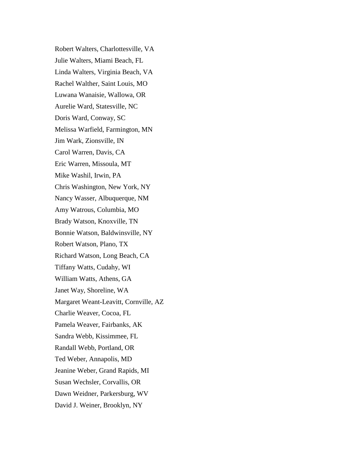Robert Walters, Charlottesville, VA Julie Walters, Miami Beach, FL Linda Walters, Virginia Beach, VA Rachel Walther, Saint Louis, MO Luwana Wanaisie, Wallowa, OR Aurelie Ward, Statesville, NC Doris Ward, Conway, SC Melissa Warfield, Farmington, MN Jim Wark, Zionsville, IN Carol Warren, Davis, CA Eric Warren, Missoula, MT Mike Washil, Irwin, PA Chris Washington, New York, NY Nancy Wasser, Albuquerque, NM Amy Watrous, Columbia, MO Brady Watson, Knoxville, TN Bonnie Watson, Baldwinsville, NY Robert Watson, Plano, TX Richard Watson, Long Beach, CA Tiffany Watts, Cudahy, WI William Watts, Athens, GA Janet Way, Shoreline, WA Margaret Weant-Leavitt, Cornville, AZ Charlie Weaver, Cocoa, FL Pamela Weaver, Fairbanks, AK Sandra Webb, Kissimmee, FL Randall Webb, Portland, OR Ted Weber, Annapolis, MD Jeanine Weber, Grand Rapids, MI Susan Wechsler, Corvallis, OR Dawn Weidner, Parkersburg, WV David J. Weiner, Brooklyn, NY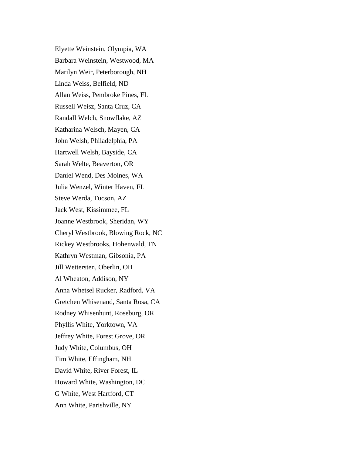Elyette Weinstein, Olympia, WA Barbara Weinstein, Westwood, MA Marilyn Weir, Peterborough, NH Linda Weiss, Belfield, ND Allan Weiss, Pembroke Pines, FL Russell Weisz, Santa Cruz, CA Randall Welch, Snowflake, AZ Katharina Welsch, Mayen, CA John Welsh, Philadelphia, PA Hartwell Welsh, Bayside, CA Sarah Welte, Beaverton, OR Daniel Wend, Des Moines, WA Julia Wenzel, Winter Haven, FL Steve Werda, Tucson, AZ Jack West, Kissimmee, FL Joanne Westbrook, Sheridan, WY Cheryl Westbrook, Blowing Rock, NC Rickey Westbrooks, Hohenwald, TN Kathryn Westman, Gibsonia, PA Jill Wettersten, Oberlin, OH Al Wheaton, Addison, NY Anna Whetsel Rucker, Radford, VA Gretchen Whisenand, Santa Rosa, CA Rodney Whisenhunt, Roseburg, OR Phyllis White, Yorktown, VA Jeffrey White, Forest Grove, OR Judy White, Columbus, OH Tim White, Effingham, NH David White, River Forest, IL Howard White, Washington, DC G White, West Hartford, CT Ann White, Parishville, NY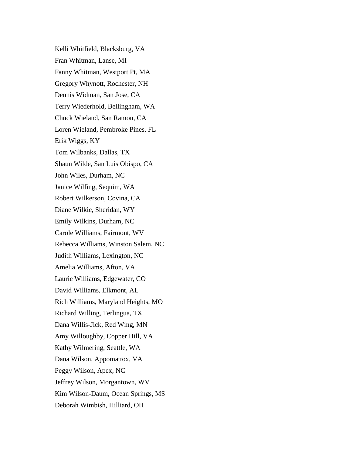Kelli Whitfield, Blacksburg, VA Fran Whitman, Lanse, MI Fanny Whitman, Westport Pt, MA Gregory Whynott, Rochester, NH Dennis Widman, San Jose, CA Terry Wiederhold, Bellingham, WA Chuck Wieland, San Ramon, CA Loren Wieland, Pembroke Pines, FL Erik Wiggs, KY Tom Wilbanks, Dallas, TX Shaun Wilde, San Luis Obispo, CA John Wiles, Durham, NC Janice Wilfing, Sequim, WA Robert Wilkerson, Covina, CA Diane Wilkie, Sheridan, WY Emily Wilkins, Durham, NC Carole Williams, Fairmont, WV Rebecca Williams, Winston Salem, NC Judith Williams, Lexington, NC Amelia Williams, Afton, VA Laurie Williams, Edgewater, CO David Williams, Elkmont, AL Rich Williams, Maryland Heights, MO Richard Willing, Terlingua, TX Dana Willis-Jick, Red Wing, MN Amy Willoughby, Copper Hill, VA Kathy Wilmering, Seattle, WA Dana Wilson, Appomattox, VA Peggy Wilson, Apex, NC Jeffrey Wilson, Morgantown, WV Kim Wilson-Daum, Ocean Springs, MS Deborah Wimbish, Hilliard, OH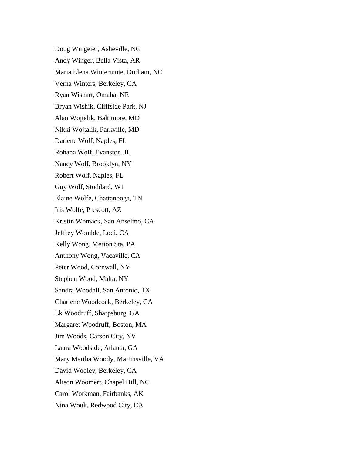Doug Wingeier, Asheville, NC Andy Winger, Bella Vista, AR Maria Elena Wintermute, Durham, NC Verna Winters, Berkeley, CA Ryan Wishart, Omaha, NE Bryan Wishik, Cliffside Park, NJ Alan Wojtalik, Baltimore, MD Nikki Wojtalik, Parkville, MD Darlene Wolf, Naples, FL Rohana Wolf, Evanston, IL Nancy Wolf, Brooklyn, NY Robert Wolf, Naples, FL Guy Wolf, Stoddard, WI Elaine Wolfe, Chattanooga, TN Iris Wolfe, Prescott, AZ Kristin Womack, San Anselmo, CA Jeffrey Womble, Lodi, CA Kelly Wong, Merion Sta, PA Anthony Wong, Vacaville, CA Peter Wood, Cornwall, NY Stephen Wood, Malta, NY Sandra Woodall, San Antonio, TX Charlene Woodcock, Berkeley, CA Lk Woodruff, Sharpsburg, GA Margaret Woodruff, Boston, MA Jim Woods, Carson City, NV Laura Woodside, Atlanta, GA Mary Martha Woody, Martinsville, VA David Wooley, Berkeley, CA Alison Woomert, Chapel Hill, NC Carol Workman, Fairbanks, AK Nina Wouk, Redwood City, CA